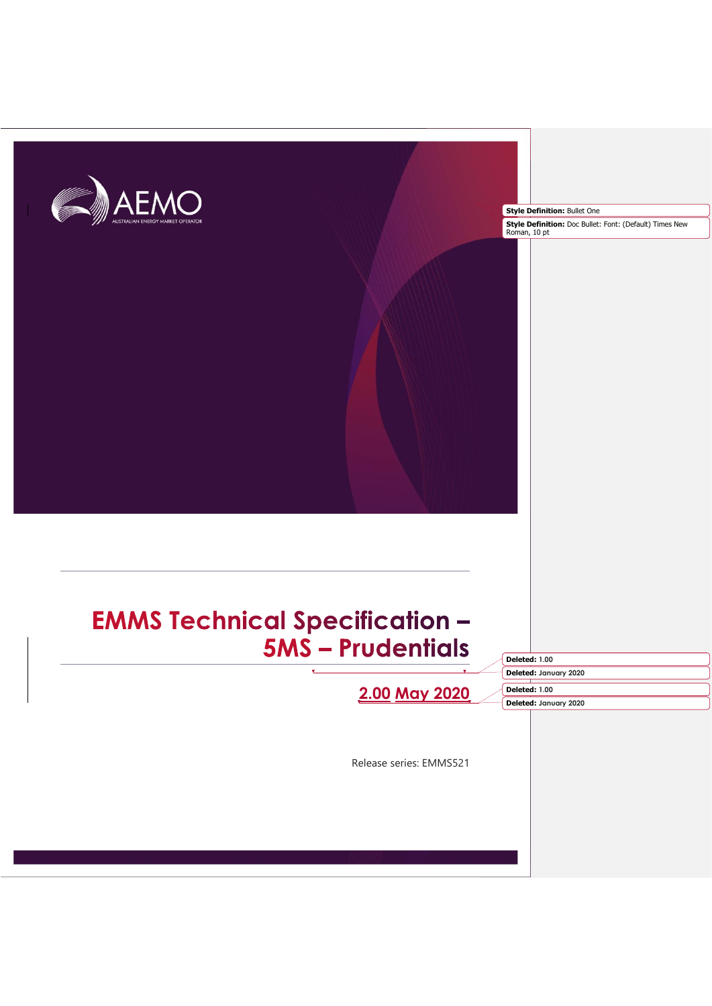

# **EMMS Technical Specification -2.000 Drugority**

Pre-production: Wednesday 16 November **2.00 May 2020**

| Deleted: 1.00 |                       |
|---------------|-----------------------|
|               | Deleted: January 2020 |
| Deleted: 1.00 |                       |
|               | Deleted: January 2020 |
|               |                       |

Production: Wednesday 19 October 2016 Nelease series: EMMS521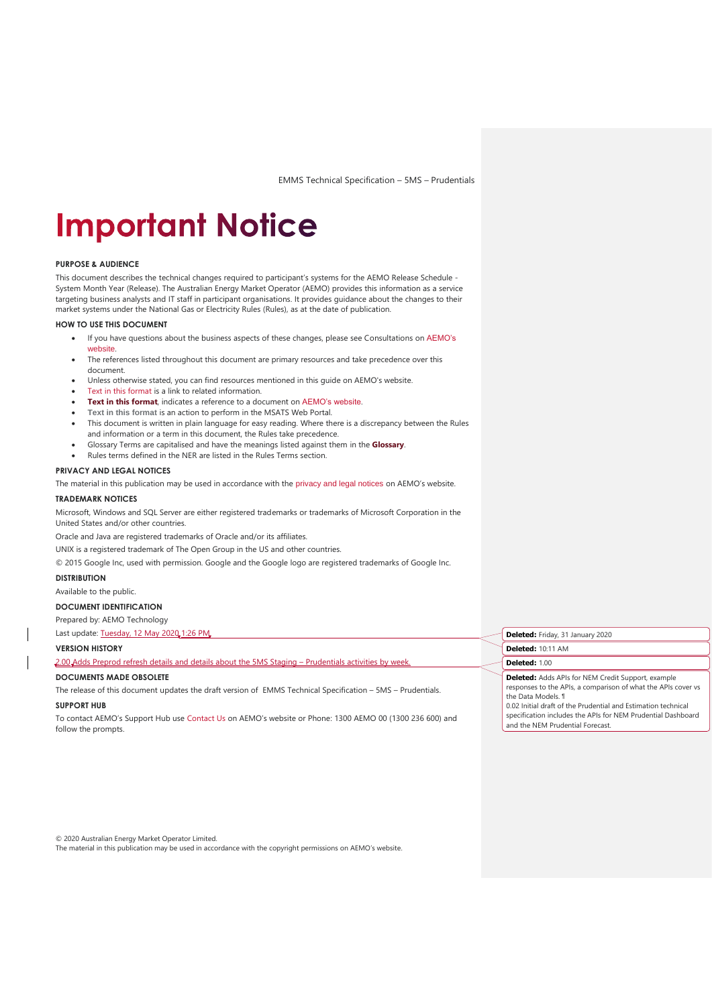EMMS Technical Specification – 5MS – Prudentials

# **Important Notice**

#### **PURPOSE & AUDIENCE**

This document describes the technical changes required to participant's systems for the AEMO Release Schedule - System Month Year (Release). The Australian Energy Market Operator (AEMO) provides this information as a service targeting business analysts and IT staff in participant organisations. It provides guidance about the changes to their market systems under the National Gas or Electricity Rules (Rules), as at the date of publication.

#### **HOW TO USE THIS DOCUMENT**

- If you have questions about the business aspects of these changes, please see Consultations on [AEMO's](http://www.aemo.com.au/)  [website](http://www.aemo.com.au/)
- The references listed throughout this document are primary resources and take precedence over this document.
- Unless otherwise stated, you can find resources mentioned in this guide on AEMO's website.
- Text in this format is a link to related information.
- **Text in this format**, indicates a reference to a document on [AEMO's website](http://www.aemo.com.au/).
- **Text in this format** is an action to perform in the MSATS Web Portal.
- This document is written in plain language for easy reading. Where there is a discrepancy between the Rules and information or a term in this document, the Rules take precedence.
- Glossary Terms are capitalised and have the meanings listed against them in the **Glossary**.
- Rules terms defined in the NER are listed in the Rules Terms section.

#### **PRIVACY AND LEGAL NOTICES**

The material in this publication may be used in accordance with the [privacy and legal notices](http://www.aemo.com.au/Privacy_and_Legal_Notices) on AEMO's website.

#### **TRADEMARK NOTICES**

Microsoft, Windows and SQL Server are either registered trademarks or trademarks of Microsoft Corporation in the United States and/or other countries.

Oracle and Java are registered trademarks of Oracle and/or its affiliates.

UNIX is a registered trademark of The Open Group in the US and other countries.

© 2015 Google Inc, used with permission. Google and the Google logo are registered trademarks of Google Inc.

#### **DISTRIBUTION**

Available to the public.

#### **DOCUMENT IDENTIFICATION**

Prepared by: AEMO Technology

Last update: Tuesday, 12 May 2020 1:26 PM

#### **VERSION HISTORY**

2.00 Adds Preprod refresh details and details about the 5MS Staging – Prudentials activities by week

#### **DOCUMENTS MADE OBSOLETE**

The release of this document updates the draft version of EMMS Technical Specification – 5MS – Prudentials.

#### **SUPPORT HUB**

To contact AEMO's Support Hub use [Contact Us](http://aemo.com.au/Contact-us) on AEMO's website or Phone: 1300 AEMO 00 (1300 236 600) and follow the prompts.

**Deleted:** Friday, 31 January 2020

# **Deleted:** 10:11 AM

#### **Deleted:** 1.00

**Deleted:** Adds APIs for NEM Credit Support, example responses to the APIs, a comparison of what the APIs cover vs the Data Models. ¶

0.02 Initial draft of the Prudential and Estimation technical specification includes the APIs for NEM Prudential Dashboard and the NEM Prudential Forecast.

© 2020 Australian Energy Market Operator Limited.

The material in this publication may be used in accordance with the [copyright permissions on AEMO's website](http://aemo.com.au/Privacy_and_Legal_Notices/Copyright_Permissions_Notice).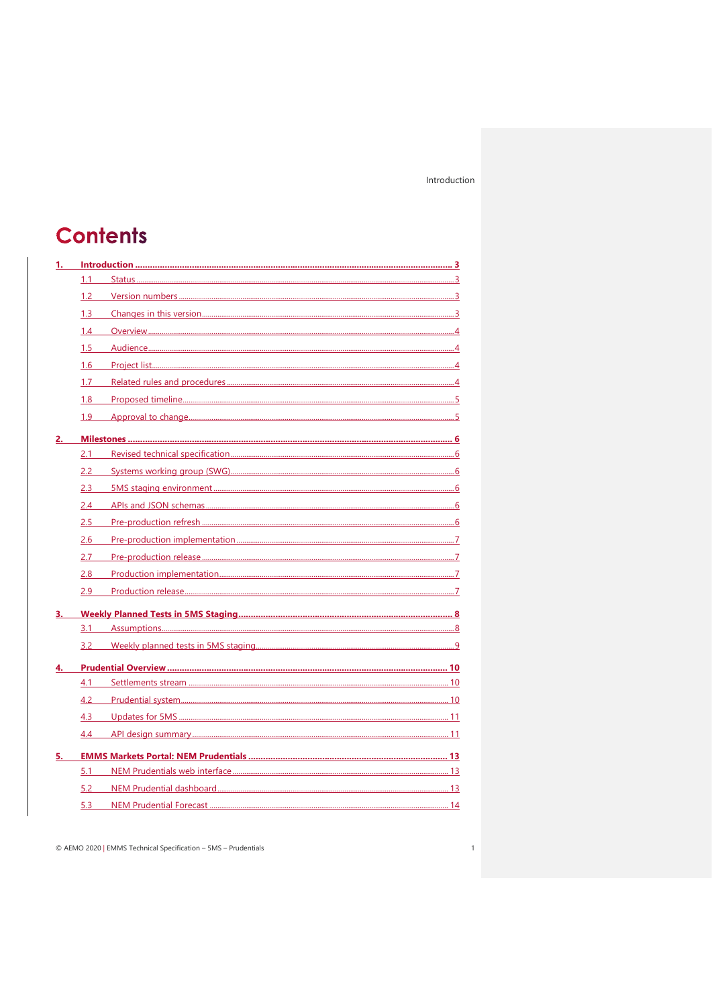# **Contents**

| 1. |                  |                                |                 |
|----|------------------|--------------------------------|-----------------|
|    | 1.1              |                                |                 |
|    | 1.2              |                                |                 |
|    | 1.3              |                                |                 |
|    | 1.4              |                                |                 |
|    | 1.5              |                                |                 |
|    | 1.6              |                                |                 |
|    | 1.7              |                                |                 |
|    | 1.8              |                                |                 |
|    | 1.9 <sup>°</sup> |                                |                 |
|    |                  |                                |                 |
|    | 2.1              |                                |                 |
|    | 2.2              |                                |                 |
|    | 2.3              |                                |                 |
|    | 2.4              |                                |                 |
|    | 2.5              |                                |                 |
|    | 2.6              |                                |                 |
|    | 2.7              |                                |                 |
|    | 2.8              |                                |                 |
|    | 2.9              |                                |                 |
| 3. |                  |                                |                 |
|    | 3.1              |                                |                 |
|    | 3.2              |                                |                 |
|    |                  |                                |                 |
|    | 4.1              |                                |                 |
|    | 4.2              |                                |                 |
|    | 4.3              |                                |                 |
|    | 4.4              |                                |                 |
|    |                  |                                |                 |
| 5. |                  |                                |                 |
|    | 5.1              |                                |                 |
|    | 5.2              | <b>NEM Prudential Eorecast</b> |                 |
|    | 53.              |                                | $\overline{14}$ |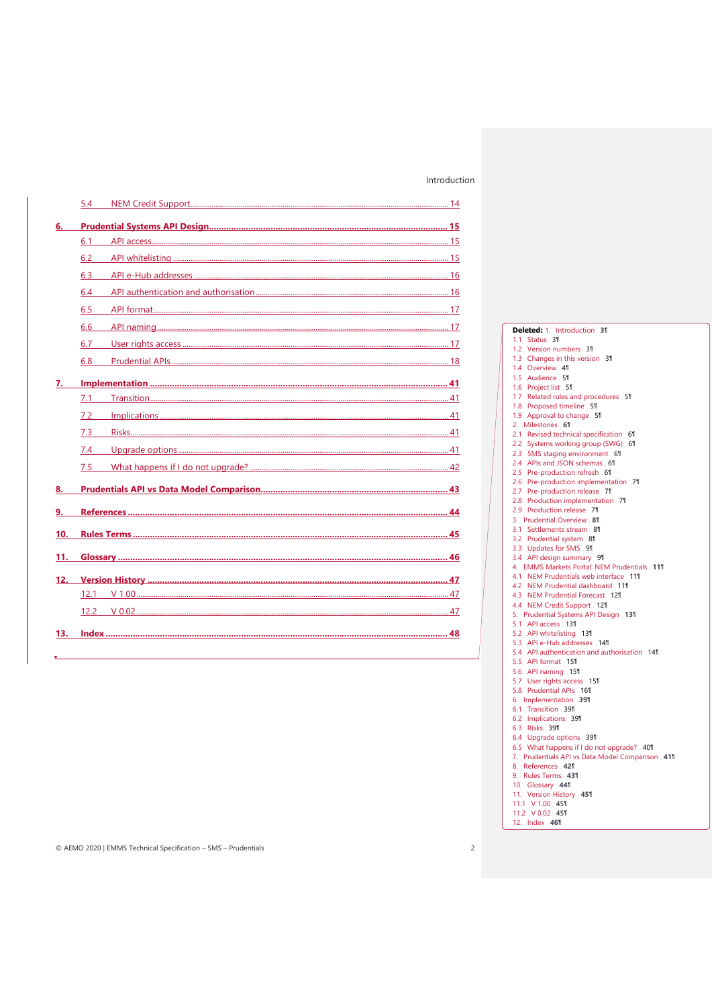|     | 5.4 |  |
|-----|-----|--|
| 6.  |     |  |
|     | 6.1 |  |
|     | 6.2 |  |
|     | 6.3 |  |
|     | 6.4 |  |
|     | 6.5 |  |
|     | 6.6 |  |
|     | 6.7 |  |
|     | 6.8 |  |
| 7.  |     |  |
|     | 7.1 |  |
|     |     |  |
|     | 7.3 |  |
|     | 7.4 |  |
|     |     |  |
| 8.  |     |  |
| 9.  |     |  |
| 10. |     |  |
| 11. |     |  |
|     |     |  |
|     |     |  |
|     |     |  |
|     |     |  |

| <b>Deleted:</b> 1. Introduction 31                    |  |
|-------------------------------------------------------|--|
| 1.1<br>Status 31                                      |  |
| 1.2 Version numbers 31                                |  |
| 1.3 Changes in this version 31                        |  |
| 1.4 Overview 41                                       |  |
| 1.5<br>Audience 51                                    |  |
| 1.6<br>Project list 51                                |  |
| 1.7 Related rules and procedures 51                   |  |
| 1.8 Proposed timeline 51                              |  |
| 1.9 Approval to change 51                             |  |
| 2. Milestones 61                                      |  |
| 2.1 Revised technical specification 61                |  |
| 2.2 Systems working group (SWG) . 61                  |  |
| 2.3 5MS staging environment 61                        |  |
| 2.4 APIs and JSON schemas 61                          |  |
| Pre-production refresh 61<br>2.5                      |  |
| 2.6<br>Pre-production implementation 71               |  |
| 2.7 Pre-production release 71                         |  |
| 2.8<br>Production implementation 71                   |  |
| 2.9 Production release . 71                           |  |
| 3. Prudential Overview 81                             |  |
| 3.1<br>Settlements stream 81                          |  |
| 3.2 Prudential system 81                              |  |
| 3.3 Updates for 5MS 91                                |  |
| 3.4 API design summary 91                             |  |
| <b>EMMS Markets Portal: NEM Prudentials 111</b><br>4. |  |
| 4.1 NEM Prudentials web interface 111                 |  |
| 4.2 NEM Prudential dashboard 111                      |  |
| 4.3 NEM Prudential Forecast 121                       |  |
| 4.4 NEM Credit Support 121                            |  |
| 5. Prudential Systems API Design 131                  |  |
| 5.1 API access 13T                                    |  |
| 5.2 API whitelisting 131                              |  |
| 5.3 API e-Hub addresses . 141                         |  |
| 5.4 API authentication and authorisation 141          |  |
| 5.5 API format 151                                    |  |
| 5.6 API naming 151                                    |  |
| 5.7 User rights access 151                            |  |
| 5.8 Prudential APIs . 161                             |  |
| 6. Implementation 391                                 |  |
| 6.1 Transition 391                                    |  |
| 6.2 Implications 391                                  |  |
| 6.3 Risks 391                                         |  |
| 6.4 Upgrade options 391                               |  |
| 6.5 What happens if I do not upgrade? 401             |  |
| 7. Prudentials API vs Data Model Comparison 411       |  |
| References 421<br>8.                                  |  |
| 9. Rules Terms 431                                    |  |
| 10. Glossary 441                                      |  |
| 11. Version History 451                               |  |
| 11.1 V 1.00 451                                       |  |
| 11.2 V 0.02 451                                       |  |
| 12.<br>Index 46                                       |  |
|                                                       |  |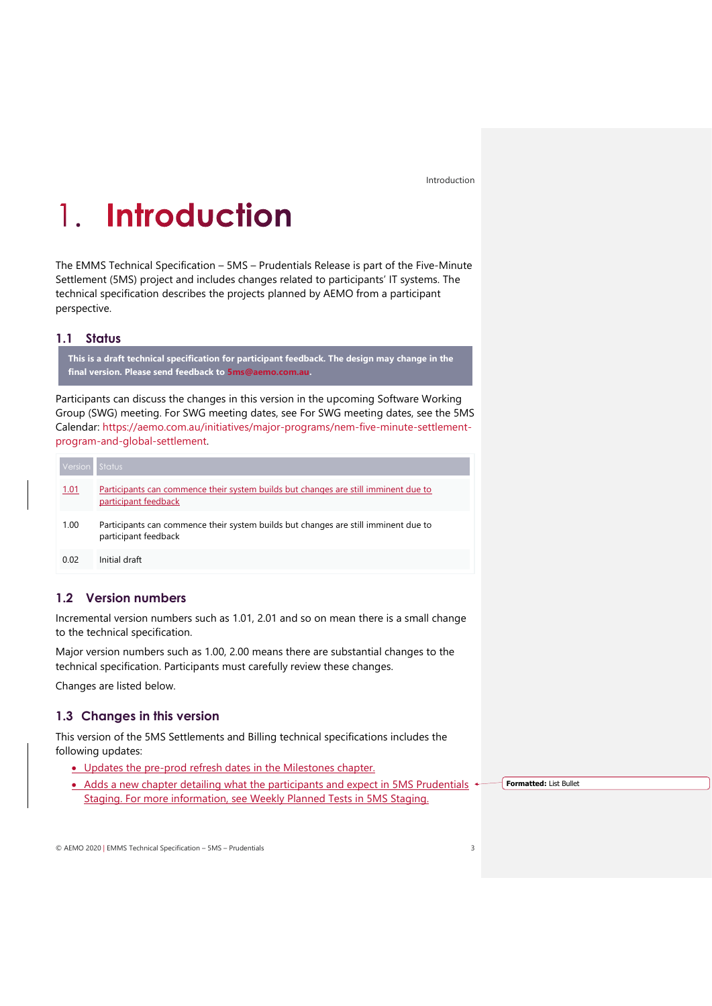# <span id="page-4-0"></span> $\overline{1}$ . **Introduction**

The EMMS Technical Specification – 5MS – Prudentials Release is part of the Five-Minute Settlement (5MS) project and includes changes related to participants' IT systems. The technical specification describes the projects planned by AEMO from a participant perspective.

#### <span id="page-4-1"></span>**1.1 Status**

**This is a draft technical specification for participant feedback. The design may change in the final version. Please send feedback to [5ms@aemo.com.au.](mailto:5ms@aemo.com.au)**

Participants can discuss the changes in this version in the upcoming Software Working Group (SWG) meeting. For SWG meeting dates, see For SWG meeting dates, see the 5MS Calendar: [https://aemo.com.au/initiatives/major-programs/nem-five-minute-settlement](https://aemo.com.au/initiatives/major-programs/nem-five-minute-settlement-program-and-global-settlement)[program-and-global-settlement.](https://aemo.com.au/initiatives/major-programs/nem-five-minute-settlement-program-and-global-settlement)

| Version | <b>Status</b>                                                                                               |
|---------|-------------------------------------------------------------------------------------------------------------|
| 1.01    | Participants can commence their system builds but changes are still imminent due to<br>participant feedback |
| 1.00    | Participants can commence their system builds but changes are still imminent due to<br>participant feedback |
| 0.02    | Initial draft                                                                                               |

# <span id="page-4-2"></span>**1.2 Version numbers**

Incremental version numbers such as 1.01, 2.01 and so on mean there is a small change to the technical specification.

Major version numbers such as 1.00, 2.00 means there are substantial changes to the technical specification. Participants must carefully review these changes.

Changes are listed [below.](#page-4-3) 

# <span id="page-4-3"></span>**1.3 Changes in this version**

This version of the 5MS Settlements and Billing technical specifications includes the following updates:

- Updates the pre-prod refresh dates in the [Milestones](#page-7-0) chapter.
- Adds a new chapter detailing what the participants and expect in 5MS Prudentials + Staging. For more information, see [Weekly Planned Tests in 5MS Staging.](#page-9-0) **Formatted:** List Bullet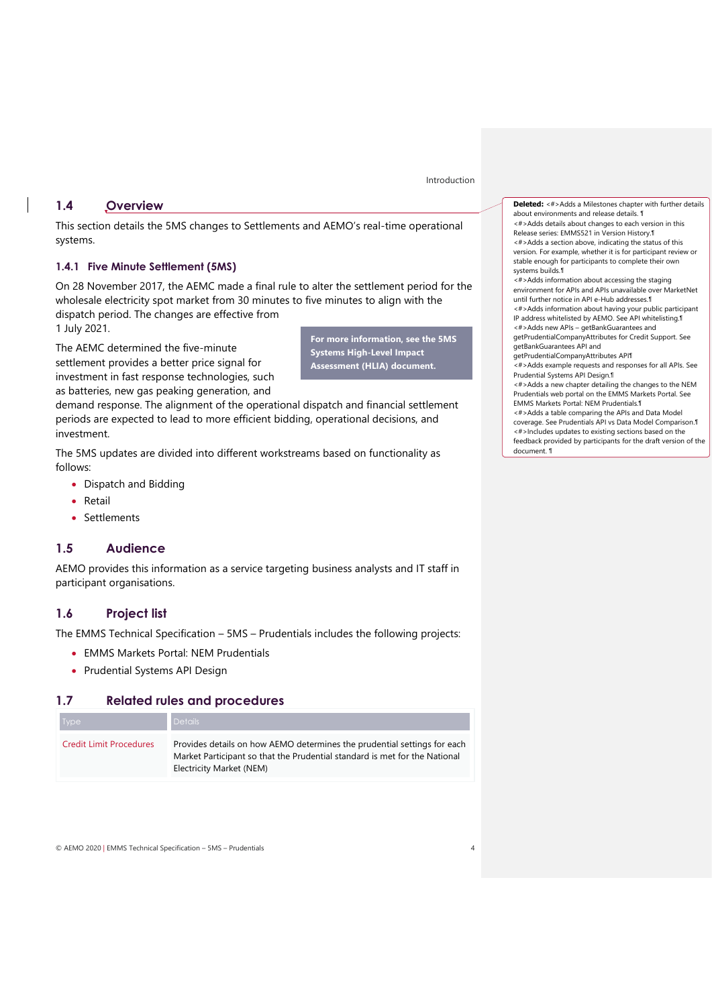**For more information, see the 5MS Systems High-Level Impact Assessment (HLIA) document.**

# <span id="page-5-0"></span>**1.4 Overview**

This section details the 5MS changes to Settlements and AEMO's real-time operational systems.

#### **1.4.1 Five Minute Settlement (5MS)**

On 28 November 2017, the AEMC made a final rule to alter the settlement period for the wholesale electricity spot market from 30 minutes to five minutes to align with the dispatch period. The changes are effective from

1 July 2021.

The AEMC determined the five-minute settlement provides a better price signal for investment in fast response technologies, such

as batteries, new gas peaking generation, and demand response. The alignment of the operational dispatch and financial settlement periods are expected to lead to more efficient bidding, operational decisions, and investment.

The 5MS updates are divided into different workstreams based on functionality as follows:

- Dispatch and Bidding
- Retail
- Settlements

# <span id="page-5-1"></span>**1.5 Audience**

AEMO provides this information as a service targeting business analysts and IT staff in participant organisations.

# <span id="page-5-2"></span>**1.6 Project list**

The EMMS Technical Specification – 5MS – Prudentials includes the following projects:

- [EMMS Markets Portal: NEM Prudentials](#page-14-0)
- [Prudential Systems API Design](#page-16-0)

# <span id="page-5-3"></span>**1.7 Related rules and procedures**

| <b>Type</b>                    | <b>Details</b>                                                                                                                                                                     |
|--------------------------------|------------------------------------------------------------------------------------------------------------------------------------------------------------------------------------|
| <b>Credit Limit Procedures</b> | Provides details on how AEMO determines the prudential settings for each<br>Market Participant so that the Prudential standard is met for the National<br>Electricity Market (NEM) |

**Deleted:** <#>Adds [a Milestones](#page-7-0) chapter with further details about environments and release details. ¶ <#>Adds details about changes to each version in this Release series: EMMS521 in [Version History.¶](#page-48-0) <#>Adds a sectio[n above,](#page-4-1) indicating the status of this version. For example, whether it is for participant review or stable enough for participants to complete their own systems builds.¶ <#>Adds information about accessing the staging environment for APIs and APIs unavailable over MarketNet until further notice in [API e-Hub addresses.](#page-17-0)¶ <#>Adds information about having your public participant IP address whitelisted by AEMO. See [API whitelisting.](#page-16-2)¶ <#>Adds new APIs – getBankGuarantees and getPrudentialCompanyAttributes for Credit Support. See [getBankGuarantees](#page-37-0) API and [getPrudentialCompanyAttributes](#page-39-0) API¶ <#>Adds example requests and responses for all APIs. See [Prudential Systems API Design.¶](#page-16-0) <#>Adds a new chapter detailing the changes to the NEM Prudentials web portal on the EMMS Markets Portal. See [EMMS Markets Portal: NEM Prudentials.](#page-14-0)¶ <#>Adds a table comparing the APIs and Data Model coverage. Se[e Prudentials API vs Data Model Comparison.](#page-44-0)¶ <#>Includes updates to existing sections based on the feedback provided by participants for the draft version of the

document. ¶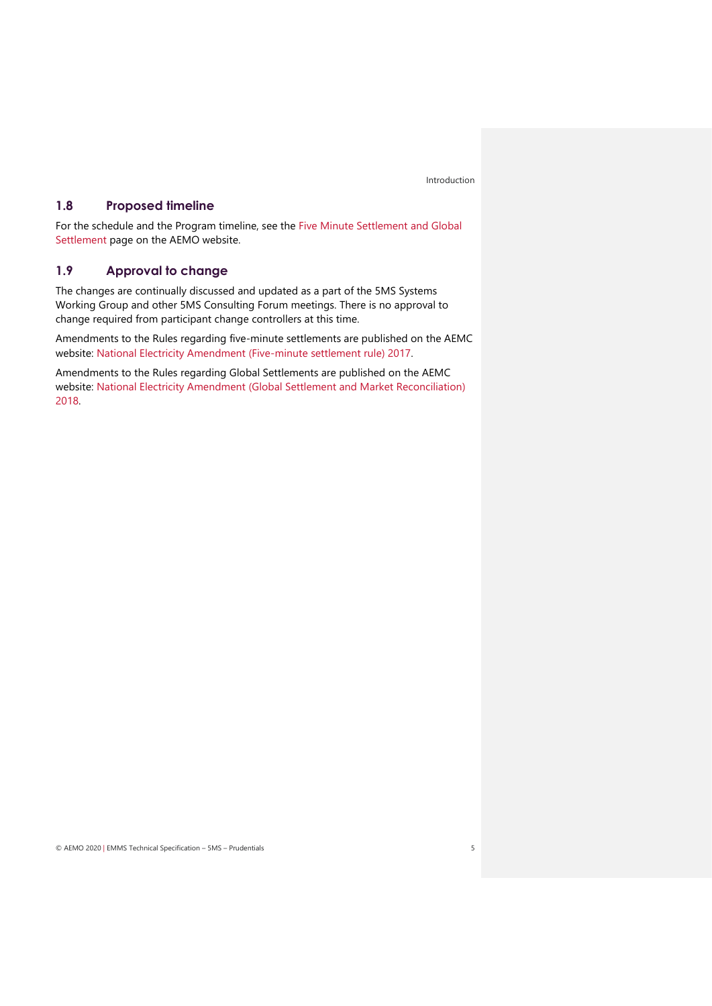### <span id="page-6-0"></span>**1.8 Proposed timeline**

For the schedule and the Program timeline, see the [Five Minute Settlement and Global](https://www.aemo.com.au/Electricity/National-Electricity-Market-NEM/Five-Minute-Settlement)  [Settlement](https://www.aemo.com.au/Electricity/National-Electricity-Market-NEM/Five-Minute-Settlement) page on the AEMO website.

# <span id="page-6-1"></span>**1.9 Approval to change**

The changes are continually discussed and updated as a part of the 5MS Systems Working Group and other 5MS Consulting Forum meetings. There is no approval to change required from participant change controllers at this time.

Amendments to the Rules regarding five-minute settlements are published on the AEMC website: [National Electricity Amendment \(Five-minute settlement rule\) 2017.](https://www.aemc.gov.au/rule-changes/five-minute-settlement)

Amendments to the Rules regarding Global Settlements are published on the AEMC website: [National Electricity Amendment \(Global Settlement and Market Reconciliation\)](https://www.aemc.gov.au/rule-changes/global-settlement-and-market-reconciliation)  [2018.](https://www.aemc.gov.au/rule-changes/global-settlement-and-market-reconciliation)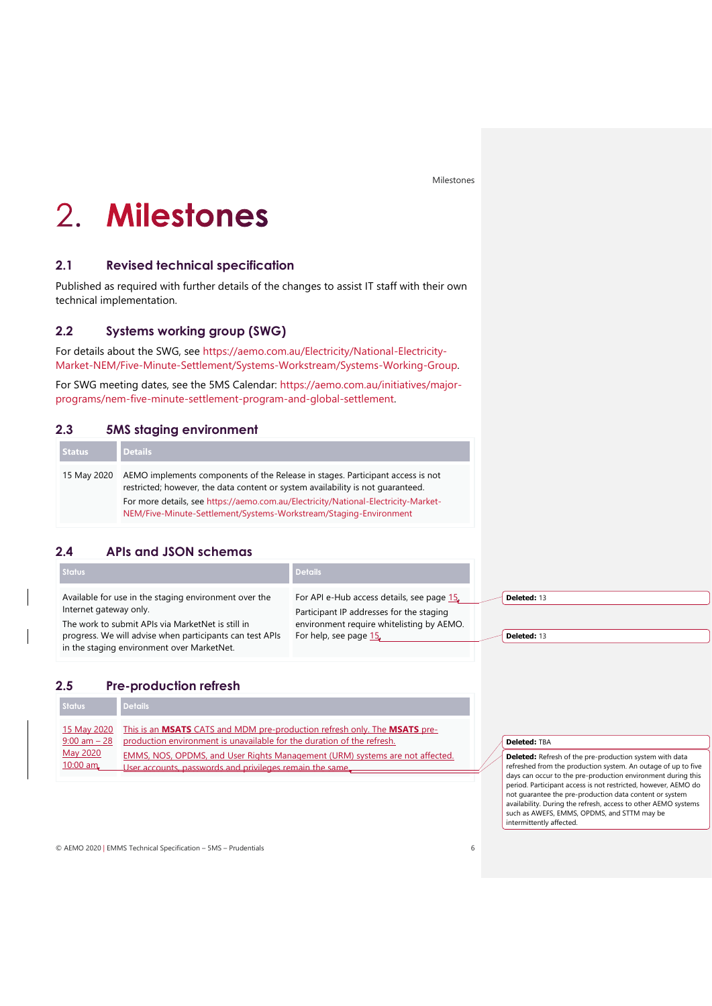Milestones

# <span id="page-7-0"></span>2. Milestones

# <span id="page-7-1"></span>**2.1 Revised technical specification**

Published as required with further details of the changes to assist IT staff with their own technical implementation.

# <span id="page-7-2"></span>**2.2 Systems working group (SWG)**

For details about the SWG, see [https://aemo.com.au/Electricity/National-Electricity-](https://aemo.com.au/Electricity/National-Electricity-Market-NEM/Five-Minute-Settlement/Systems-Workstream/Systems-Working-Group)[Market-NEM/Five-Minute-Settlement/Systems-Workstream/Systems-Working-Group.](https://aemo.com.au/Electricity/National-Electricity-Market-NEM/Five-Minute-Settlement/Systems-Workstream/Systems-Working-Group)

For SWG meeting dates, see the 5MS Calendar: [https://aemo.com.au/initiatives/major](https://aemo.com.au/initiatives/major-programs/nem-five-minute-settlement-program-and-global-settlement)[programs/nem-five-minute-settlement-program-and-global-settlement.](https://aemo.com.au/initiatives/major-programs/nem-five-minute-settlement-program-and-global-settlement)

# <span id="page-7-3"></span>**2.3 5MS staging environment**

| Status      | Details                                                                                                                                                           |
|-------------|-------------------------------------------------------------------------------------------------------------------------------------------------------------------|
| 15 May 2020 | AEMO implements components of the Release in stages. Participant access is not<br>restricted; however, the data content or system availability is not quaranteed. |
|             | For more details, see https://aemo.com.au/Electricity/National-Electricity-Market-<br>NEM/Five-Minute-Settlement/Systems-Workstream/Staging-Environment           |

### <span id="page-7-4"></span>**2.4 APIs and JSON schemas**

| <b>Status</b>                                                                                                                                                                                                                                  | <b>Details</b>                                                                                                                                              |
|------------------------------------------------------------------------------------------------------------------------------------------------------------------------------------------------------------------------------------------------|-------------------------------------------------------------------------------------------------------------------------------------------------------------|
| Available for use in the staging environment over the<br>Internet gateway only.<br>The work to submit APIs via MarketNet is still in<br>progress. We will advise when participants can test APIs<br>in the staging environment over MarketNet. | For API e-Hub access details, see page 15<br>Participant IP addresses for the staging<br>environment require whitelisting by AEMO.<br>For help, see page 15 |

**[Deleted:](#page-16-1)** 13

**[Deleted:](#page-16-2)** 13

### <span id="page-7-5"></span>**2.5 Pre-production refresh**

|                         | <b>Details</b>                                                                                                                                                                |
|-------------------------|-------------------------------------------------------------------------------------------------------------------------------------------------------------------------------|
| $9:00$ am $-28$         | 15 May 2020 This is an <b>MSATS</b> CATS and MDM pre-production refresh only. The <b>MSATS</b> pre-<br>production environment is unavailable for the duration of the refresh. |
| May 2020<br>$10:00$ am. | EMMS, NOS, OPDMS, and User Rights Management (URM) systems are not affected.<br>User accounts, passwords and privileges remain the same.                                      |

**Deleted:** TBA

**Deleted:** Refresh of the pre-production system with data refreshed from the production system. An outage of up to five days can occur to the pre-production environment during this period. Participant access is not restricted, however, AEMO do not guarantee the pre-production data content or system availability. During the refresh, access to other AEMO systems such as AWEFS, EMMS, OPDMS, and STTM may be intermittently affected.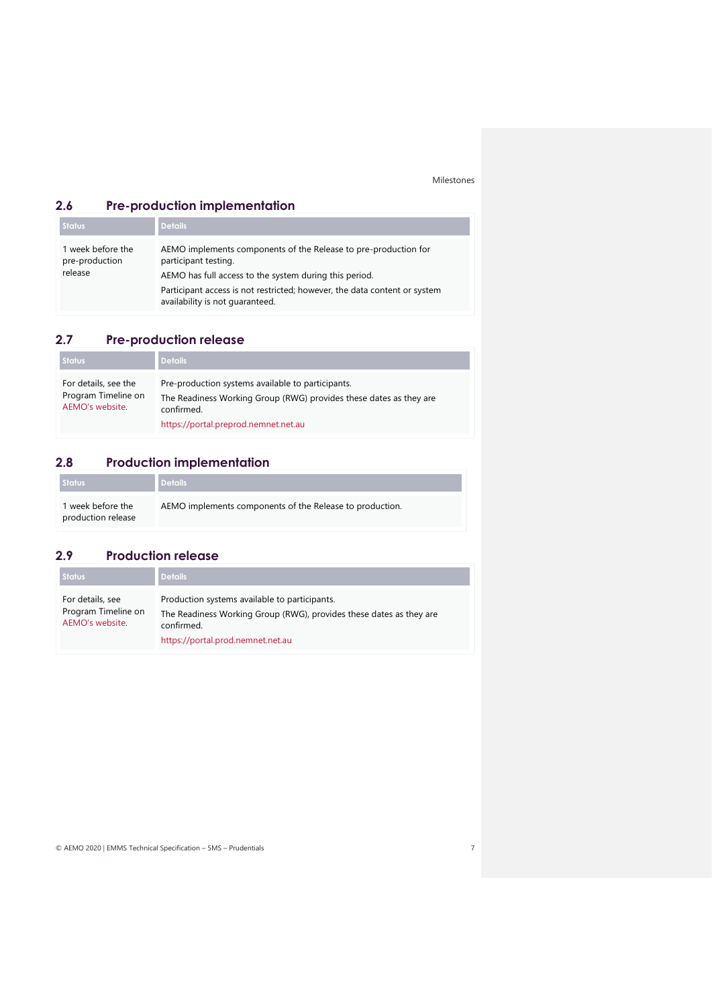Milestones

# <span id="page-8-0"></span>**2.6 Pre-production implementation**

| <b>Status</b>                                  | <b>Details</b>                                                                                                                                                                                                                                                    |
|------------------------------------------------|-------------------------------------------------------------------------------------------------------------------------------------------------------------------------------------------------------------------------------------------------------------------|
| 1 week before the<br>pre-production<br>release | AEMO implements components of the Release to pre-production for<br>participant testing.<br>AEMO has full access to the system during this period.<br>Participant access is not restricted; however, the data content or system<br>availability is not quaranteed. |

# <span id="page-8-1"></span>**2.7 Pre-production release**

| <b>Status</b>                                                  | Details                                                                                                                                                                       |
|----------------------------------------------------------------|-------------------------------------------------------------------------------------------------------------------------------------------------------------------------------|
| For details, see the<br>Program Timeline on<br>AEMO's website. | Pre-production systems available to participants.<br>The Readiness Working Group (RWG) provides these dates as they are<br>confirmed.<br>https://portal.preprod.nemnet.net.au |

# <span id="page-8-2"></span>**2.8 Production implementation**

| l Status I                              | <b>Details</b>                                           |
|-----------------------------------------|----------------------------------------------------------|
| 1 week before the<br>production release | AEMO implements components of the Release to production. |

# <span id="page-8-3"></span>**2.9 Production release**

| <b>Status</b>                                              | <b>Details</b>                                                                                                                                                          |
|------------------------------------------------------------|-------------------------------------------------------------------------------------------------------------------------------------------------------------------------|
| For details, see<br>Program Timeline on<br>AEMO's website. | Production systems available to participants.<br>The Readiness Working Group (RWG), provides these dates as they are<br>confirmed.<br>https://portal.prod.nemnet.net.au |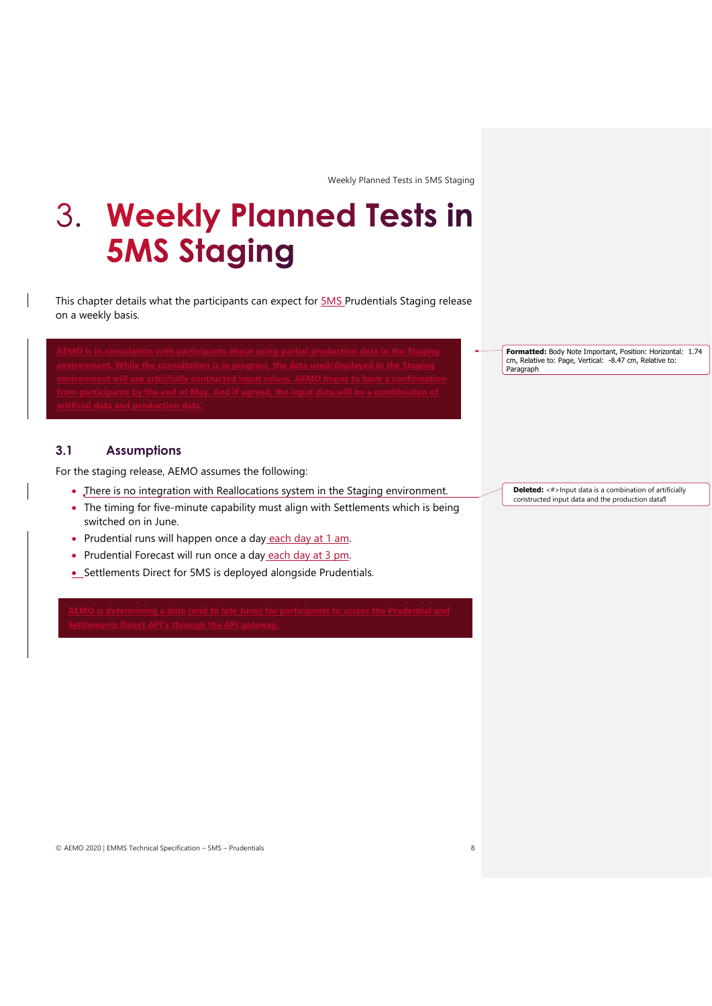Weekly Planned Tests in 5MS Staging

# <span id="page-9-0"></span>3. Weekly Planned Tests in **5MS Staging**

This chapter details what the participants can expect for **5MS** Prudentials Staging release on a weekly basis.

# <span id="page-9-1"></span>**3.1 Assumptions**

For the staging release, AEMO assumes the following:

- There is no integration with Reallocations system in the Staging environment.
- The timing for five-minute capability must align with Settlements which is being switched on in June.
- Prudential runs will happen once a day each day at 1 am.
- Prudential Forecast will run once a day each day at 3 pm.
- Settlements Direct for 5MS is deployed alongside Prudentials.

**Formatted:** Body Note Important, Position: Horizontal: 1.74 cm, Relative to: Page, Vertical: -8.47 cm, Relative to: Paragraph

**Deleted:** <#>Input data is a combination of artificially constructed input data and the production data¶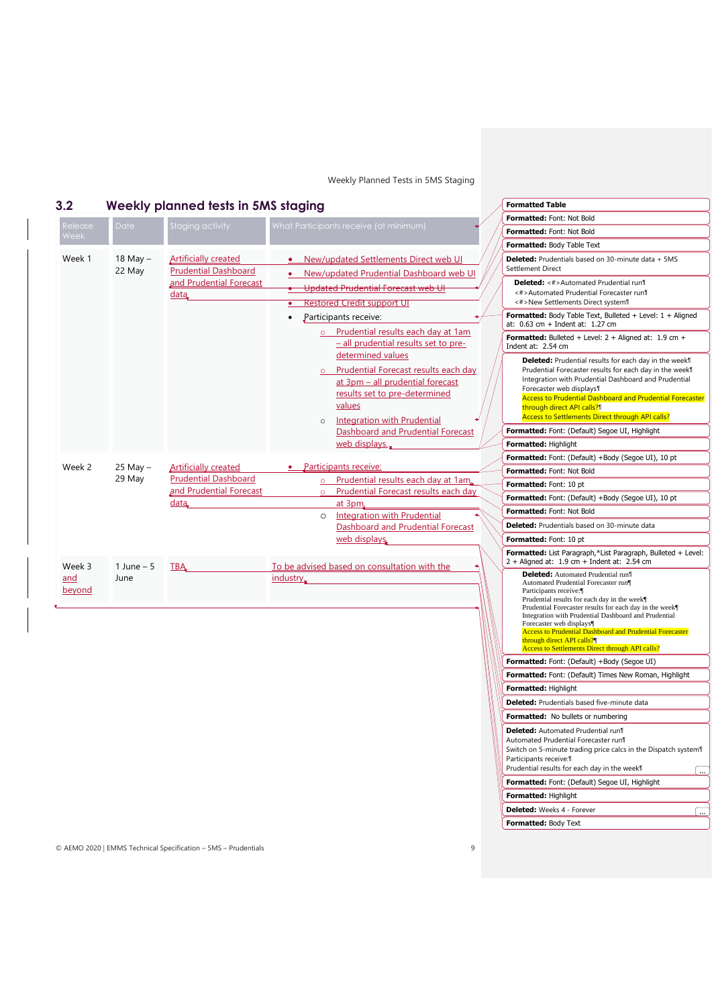Weekly Planned Tests in 5MS Staging

**Formatted Table**

Access to Prudential Dashboard and Prudential Forecaster<br>through direct API calls?¶<br>Access to Settlements Direct through API calls?

Automated Prudential Forecaster run¶ Switch on 5-minute trading price calcs in the Dispatch system¶

...

**Formatted:** Font: (Default) +Body (Segoe UI) **Formatted:** Font: (Default) Times New Roman, Highlight

**Deleted:** Prudentials based five-minute data **Formatted:** No bullets or numbering **Deleted:** Automated Prudential run¶

Prudential results for each day in the week **Formatted:** Font: (Default) Segoe UI, Highlight

**Formatted:** Highlight

Participants receive:¶

**Formatted:** Highlight **Deleted:** Weeks 4 - Forever

**Formatted:** Body Text

# <span id="page-10-0"></span>**3.2 Weekly planned tests in 5MS staging**

|                 |                        |                                                            |                                                                                                                                                                                            | Formatted: Font: Not Bold                                                                                                                                                                                                                                                                                                                                |
|-----------------|------------------------|------------------------------------------------------------|--------------------------------------------------------------------------------------------------------------------------------------------------------------------------------------------|----------------------------------------------------------------------------------------------------------------------------------------------------------------------------------------------------------------------------------------------------------------------------------------------------------------------------------------------------------|
| Release<br>Week | <b>Date</b>            | Staging activity                                           | What Participants receive (at minimum)                                                                                                                                                     | Formatted: Font: Not Bold                                                                                                                                                                                                                                                                                                                                |
|                 |                        |                                                            |                                                                                                                                                                                            | Formatted: Body Table Text                                                                                                                                                                                                                                                                                                                               |
| Week 1          | $18$ May $-$<br>22 May | <b>Artificially created</b><br><b>Prudential Dashboard</b> | New/updated Settlements Direct web UI<br>New/updated Prudential Dashboard web UI                                                                                                           | <b>Deleted:</b> Prudentials based on 30-minute data + 5MS<br><b>Settlement Direct</b>                                                                                                                                                                                                                                                                    |
|                 |                        | and Prudential Forecast<br>data                            | Updated Prudential Forecast web UI<br><b>Restored Credit support UI</b>                                                                                                                    | <b>Deleted:</b> <#>Automated Prudential run1<br><#>Automated Prudential Forecaster run'll<br><#>New Settlements Direct system¶                                                                                                                                                                                                                           |
|                 |                        |                                                            | Participants receive:<br>$\bullet$                                                                                                                                                         | Formatted: Body Table Text, Bulleted + Level: 1 + Aligned<br>at: $0.63$ cm + Indent at: 1.27 cm                                                                                                                                                                                                                                                          |
|                 |                        |                                                            | Prudential results each day at 1am<br>$\circ$<br>- all prudential results set to pre-                                                                                                      | Formatted: Bulleted + Level: $2 +$ Aligned at: 1.9 cm +<br>Indent at: 2.54 cm                                                                                                                                                                                                                                                                            |
|                 |                        |                                                            | determined values<br>Prudential Forecast results each day<br>at 3pm - all prudential forecast<br>results set to pre-determined<br>values<br><b>Integration with Prudential</b><br>$\Omega$ | Deleted: Prudential results for each day in the week!<br>Prudential Forecaster results for each day in the week!<br>Integration with Prudential Dashboard and Prudential<br>Forecaster web displays1<br><b>Access to Prudential Dashboard and Prudential Forecaster</b><br>through direct API calls?1<br>Access to Settlements Direct through API calls? |
|                 |                        |                                                            | Dashboard and Prudential Forecast                                                                                                                                                          | Formatted: Font: (Default) Segoe UI, Highlight                                                                                                                                                                                                                                                                                                           |
|                 |                        |                                                            | web displays.                                                                                                                                                                              | Formatted: Highlight                                                                                                                                                                                                                                                                                                                                     |
|                 |                        |                                                            |                                                                                                                                                                                            | Formatted: Font: (Default) +Body (Segoe UI), 10 pt                                                                                                                                                                                                                                                                                                       |
| Week 2          | $25$ May $-$           | Artificially created                                       | Participants receive:                                                                                                                                                                      | Formatted: Font: Not Bold                                                                                                                                                                                                                                                                                                                                |
|                 | 29 May                 | <b>Prudential Dashboard</b>                                | Prudential results each day at 1am.<br>$\circ$                                                                                                                                             | Formatted: Font: 10 pt                                                                                                                                                                                                                                                                                                                                   |
|                 |                        | and Prudential Forecast<br>data                            | Prudential Forecast results each day<br>$\circ$<br>at 3pm.                                                                                                                                 | Formatted: Font: (Default) +Body (Segoe UI), 10 pt                                                                                                                                                                                                                                                                                                       |
|                 |                        |                                                            | <b>Integration with Prudential</b><br>$\circ$                                                                                                                                              | <b>Formatted: Font: Not Bold</b>                                                                                                                                                                                                                                                                                                                         |
|                 |                        |                                                            | Dashboard and Prudential Forecast                                                                                                                                                          | <b>Deleted:</b> Prudentials based on 30-minute data                                                                                                                                                                                                                                                                                                      |
|                 |                        |                                                            | web displays.                                                                                                                                                                              | <b>Formatted:</b> Font: 10 pt                                                                                                                                                                                                                                                                                                                            |
| Week 3          | $1$ June $-5$          | <b>TBA</b>                                                 | To be advised based on consultation with the                                                                                                                                               | Formatted: List Paragraph,*List Paragraph, Bulleted + Level:<br>$2 +$ Aligned at: 1.9 cm + Indent at: 2.54 cm                                                                                                                                                                                                                                            |
| and<br>beyond   | June                   |                                                            | industry.                                                                                                                                                                                  | <b>Deleted:</b> Automated Prudential run<br>Automated Prudential Forecaster run<br>Participants receive:<br>Prudential results for each day in the week¶<br>Prudential Forecaster results for each day in the week¶<br>Integration with Prudential Dashboard and Prudential<br>Forecaster web displays                                                   |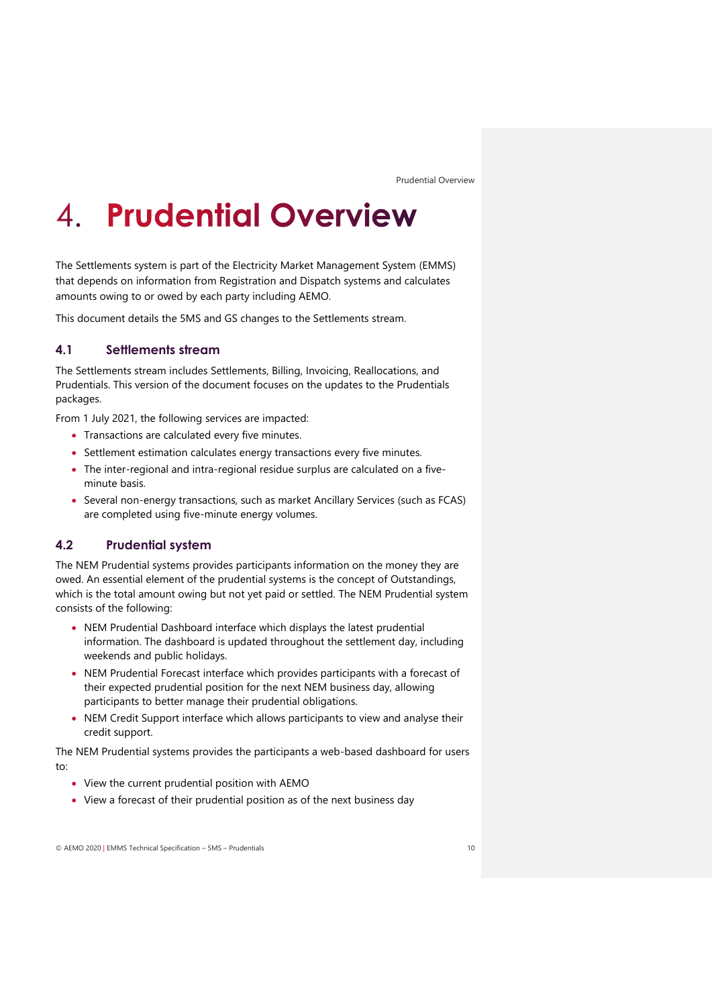Prudential Overview

# <span id="page-11-0"></span>**Prudential Overview**  $\overline{4}$ .

The Settlements system is part of the Electricity Market Management System (EMMS) that depends on information from Registration and Dispatch systems and calculates amounts owing to or owed by each party including AEMO.

This document details the 5MS and GS changes to the Settlements stream.

### <span id="page-11-1"></span>**4.1 Settlements stream**

The Settlements stream includes Settlements, Billing, Invoicing, Reallocations, and Prudentials. This version of the document focuses on the updates to the Prudentials packages.

From 1 July 2021, the following services are impacted:

- Transactions are calculated every five minutes.
- Settlement estimation calculates energy transactions every five minutes.
- The inter-regional and intra-regional residue surplus are calculated on a fiveminute basis.
- Several non-energy transactions, such as market Ancillary Services (such as FCAS) are completed using five-minute energy volumes.

# <span id="page-11-2"></span>**4.2 Prudential system**

The NEM Prudential systems provides participants information on the money they are owed. An essential element of the prudential systems is the concept of Outstandings, which is the total amount owing but not yet paid or settled. The NEM Prudential system consists of the following:

- NEM Prudential Dashboard interface which displays the latest prudential information. The dashboard is updated throughout the settlement day, including weekends and public holidays.
- NEM Prudential Forecast interface which provides participants with a forecast of their expected prudential position for the next NEM business day, allowing participants to better manage their prudential obligations.
- NEM Credit Support interface which allows participants to view and analyse their credit support.

The NEM Prudential systems provides the participants a web-based dashboard for users to:

- View the current prudential position with AEMO
- View a forecast of their prudential position as of the next business day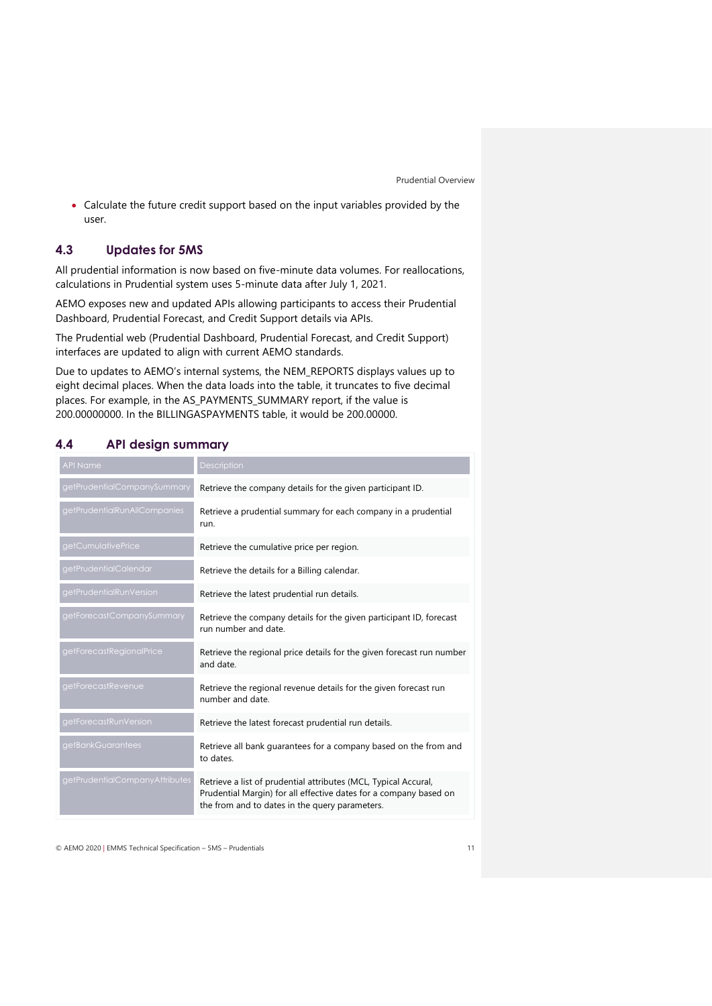Prudential Overview

• Calculate the future credit support based on the input variables provided by the user.

# <span id="page-12-0"></span>**4.3 Updates for 5MS**

All prudential information is now based on five-minute data volumes. For reallocations, calculations in Prudential system uses 5-minute data after July 1, 2021.

AEMO exposes new and updated APIs allowing participants to access their Prudential Dashboard, Prudential Forecast, and Credit Support details via APIs.

The Prudential web (Prudential Dashboard, Prudential Forecast, and Credit Support) interfaces are updated to align with current AEMO standards.

Due to updates to AEMO's internal systems, the NEM\_REPORTS displays values up to eight decimal places. When the data loads into the table, it truncates to five decimal places. For example, in the AS\_PAYMENTS\_SUMMARY report, if the value is 200.00000000. In the BILLINGASPAYMENTS table, it would be 200.00000.

### <span id="page-12-1"></span>**4.4 API design summary**

| <b>API Name</b>                | <b>Description</b>                                                                                                                                                                     |
|--------------------------------|----------------------------------------------------------------------------------------------------------------------------------------------------------------------------------------|
| getPrudentialCompanySummary    | Retrieve the company details for the given participant ID.                                                                                                                             |
| getPrudentialRunAllCompanies   | Retrieve a prudential summary for each company in a prudential<br>run.                                                                                                                 |
| getCumulativePrice             | Retrieve the cumulative price per region.                                                                                                                                              |
| getPrudentialCalendar          | Retrieve the details for a Billing calendar.                                                                                                                                           |
| getPrudentialRunVersion        | Retrieve the latest prudential run details.                                                                                                                                            |
| getForecastCompanySummary      | Retrieve the company details for the given participant ID, forecast<br>run number and date.                                                                                            |
| getForecastRegionalPrice       | Retrieve the regional price details for the given forecast run number<br>and date.                                                                                                     |
| getForecastRevenue             | Retrieve the regional revenue details for the given forecast run<br>number and date.                                                                                                   |
| getForecastRunVersion          | Retrieve the latest forecast prudential run details.                                                                                                                                   |
| getBankGuarantees              | Retrieve all bank quarantees for a company based on the from and<br>to dates.                                                                                                          |
| getPrudentialCompanyAttributes | Retrieve a list of prudential attributes (MCL, Typical Accural,<br>Prudential Margin) for all effective dates for a company based on<br>the from and to dates in the query parameters. |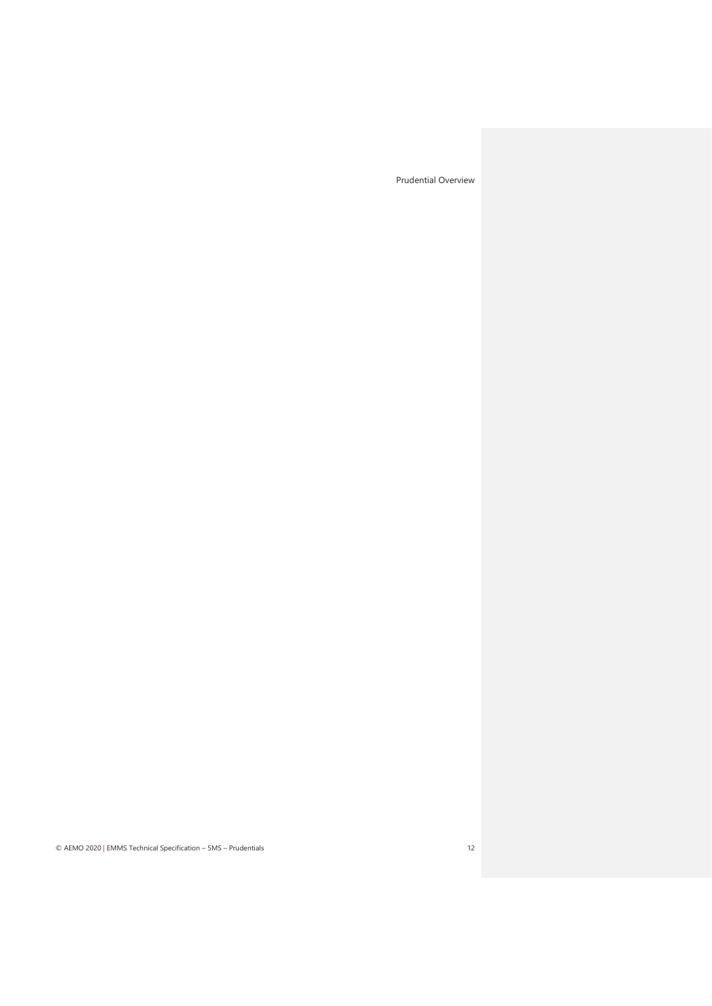Prudential Overview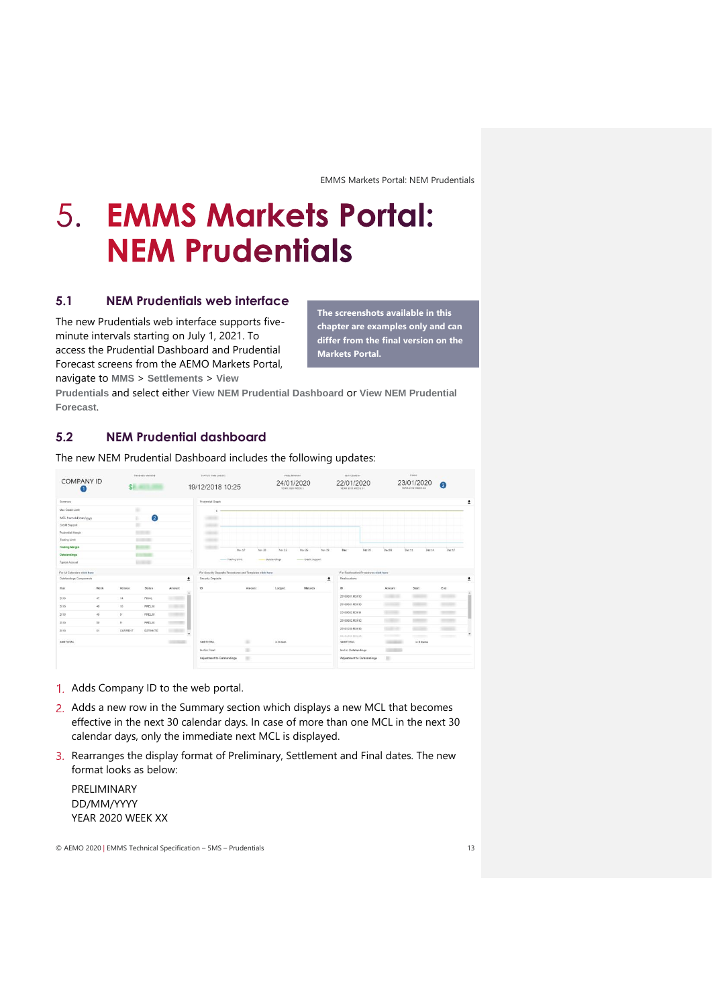EMMS Markets Portal: NEM Prudentials

# <span id="page-14-0"></span>**5. EMMS Markets Portal: NEM Prudentials**

### <span id="page-14-1"></span>**5.1 NEM Prudentials web interface**

The new Prudentials web interface supports fiveminute intervals starting on July 1, 2021. To access the Prudential Dashboard and Prudential Forecast screens from the AEMO Markets Portal, navigate to **MMS** > **Settlements** > **View** 

**The screenshots available in this chapter are examples only and can differ from the final version on the Markets Portal.**

**Prudentials** and select either **View NEM Prudential Dashboard** or **View NEM Prudential Forecast**.

# <span id="page-14-2"></span>**5.2 NEM Prudential dashboard**

The new NEM Prudential Dashboard includes the following updates:

| <b>COMPANY ID</b><br>61      |              | $\mathbf{s}$             | TRADING MARGIN    |        | <b>ETATUS TIME (AEST)</b><br>19/12/2018 10:25             |                |        |              | <b>FRELIMIAARY</b><br>24/01/2020<br>YEAR 2020 WEEK 2 |        | SETTLEMENT<br>22/01/2020<br>VEAR 2018 WEEK 51 |                                        |                | FINAL<br>23/01/2020<br><b>YEAR 2013 WEEK 12</b> |        | 3      |   |
|------------------------------|--------------|--------------------------|-------------------|--------|-----------------------------------------------------------|----------------|--------|--------------|------------------------------------------------------|--------|-----------------------------------------------|----------------------------------------|----------------|-------------------------------------------------|--------|--------|---|
| Summary                      |              |                          |                   |        | Prudential Graph                                          |                |        |              |                                                      |        |                                               |                                        |                |                                                 |        |        | Ŧ |
| Max Credit Limit             |              | ×                        |                   |        |                                                           |                |        |              |                                                      |        |                                               |                                        |                |                                                 |        |        |   |
| MCL from dd/mm/yyyy          |              | ×                        | $\boldsymbol{c}$  |        |                                                           |                |        |              |                                                      |        |                                               |                                        |                |                                                 |        |        |   |
| Credit Support               |              | ٠                        |                   |        |                                                           |                |        |              |                                                      |        |                                               |                                        |                |                                                 |        |        |   |
| Prudential Margin            |              |                          | <b>DOM NO</b>     |        |                                                           |                |        |              |                                                      |        |                                               |                                        |                |                                                 |        |        |   |
| Trading Limit                |              |                          | <b>STATISTICS</b> |        |                                                           |                |        |              |                                                      |        |                                               |                                        |                |                                                 |        |        |   |
| <b>Trading Margin</b>        |              |                          | <b>Contact</b>    |        |                                                           | Nov 17         | Nov 20 | Nov 23       | Nov. 26                                              | Nov 29 | Dec                                           | Dec 05                                 | Dec 08         | Dec 11                                          | Dec 14 | Dec 17 |   |
| Outstandings                 |              |                          |                   |        |                                                           | -Trading Limit | $\sim$ | Outstandings | Credit Support                                       |        |                                               |                                        |                |                                                 |        |        |   |
| <b>Typical Accrual</b>       |              |                          | <b>Linkshott</b>  |        |                                                           |                |        |              |                                                      |        |                                               |                                        |                |                                                 |        |        |   |
| For All Calendars click here |              |                          |                   |        | For Security Deposits Procedures and Templates click here |                |        |              |                                                      |        |                                               | For Realiscation Procedures click here |                |                                                 |        |        |   |
| Outstandings Components      |              |                          |                   | ÷      | Security Deposits                                         |                |        |              |                                                      | Ŧ      | Realiocations                                 |                                        |                |                                                 |        |        | ± |
| Year                         | Week         | Version                  | <b>Status</b>     | Amount | ID                                                        | Amount         |        | Lodged       | <b>Matures</b>                                       |        | ID                                            |                                        | Amount         | Start                                           |        | End    |   |
| 2018                         | 47.          | 14                       | <b>FINAL</b>      |        |                                                           |                |        |              |                                                      |        | 20100801.RS013                                |                                        |                |                                                 |        |        |   |
| 2018                         | 48.          | 10                       | PRELIM            |        |                                                           |                |        |              |                                                      |        | 20150501 RS016                                |                                        |                |                                                 | ٠      |        |   |
| 2018                         | 48           | $\overline{\phantom{a}}$ | PRELIM            |        |                                                           |                |        |              |                                                      |        | 20180802 RS011                                |                                        |                |                                                 |        |        |   |
| 2018                         | $50^{\circ}$ | $\alpha$                 | PREUM             |        |                                                           |                |        |              |                                                      |        | 20188802 RS012                                |                                        |                |                                                 |        |        |   |
| 2018                         | 51           | CURRENT                  | <b>ESTIMATE</b>   |        |                                                           |                |        |              |                                                      |        | 20181030 RS016                                |                                        | <b>COMPANY</b> |                                                 |        |        |   |
|                              |              |                          |                   |        |                                                           |                |        |              |                                                      |        | <b>BRANDARD MAKEN</b>                         |                                        | ----           | <b>TO THEFT</b>                                 |        |        | ٠ |
| <b>SUBTOTAL</b>              |              |                          |                   |        | SUBTOTAL.                                                 | $\mathbb{R}$   |        | in 0 item    |                                                      |        | SUBTOTAL                                      |                                        | ---            | in 5 items                                      |        |        |   |
|                              |              |                          |                   |        | <b>Incl in Final</b>                                      | $\rightarrow$  |        |              |                                                      |        | Incl in Outstandings                          |                                        | construction   |                                                 |        |        |   |
|                              |              |                          |                   |        | Adjustment to Outstandings                                | $\mathbb{R}$   |        |              |                                                      |        |                                               | Adjustment to Outstandings             | 田              |                                                 |        |        |   |

- 1. Adds Company ID to the web portal.
- 2. Adds a new row in the Summary section which displays a new MCL that becomes effective in the next 30 calendar days. In case of more than one MCL in the next 30 calendar days, only the immediate next MCL is displayed.
- 3. Rearranges the display format of Preliminary, Settlement and Final dates. The new format looks as below:

PRELIMINARY DD/MM/YYYY YEAR 2020 WEEK XX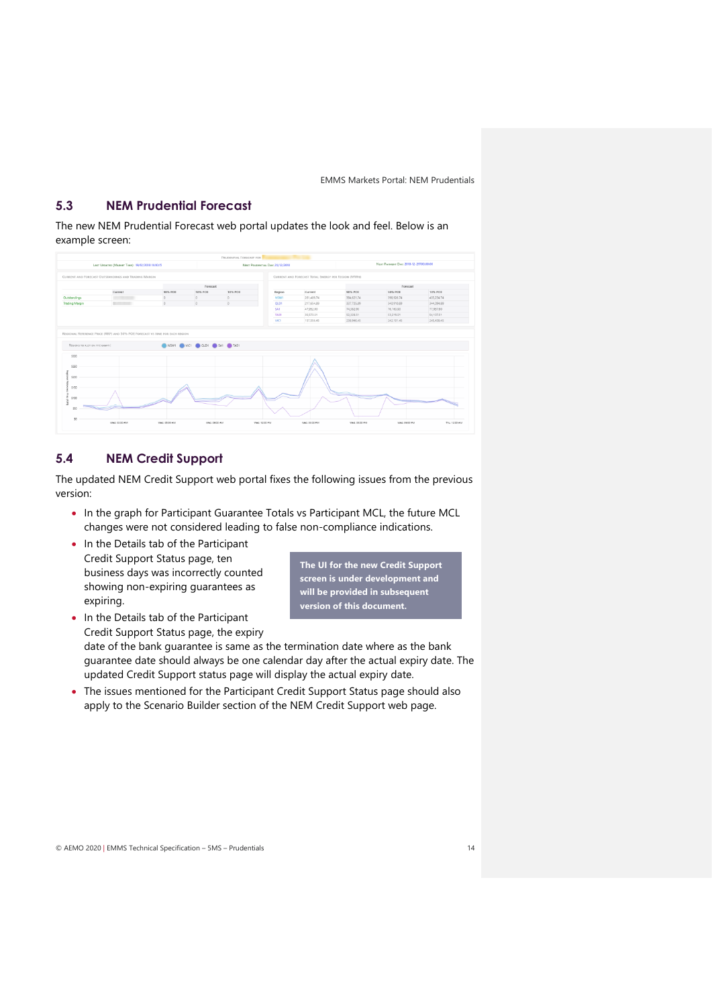EMMS Markets Portal: NEM Prudentials

# <span id="page-15-0"></span>**5.3 NEM Prudential Forecast**

The new NEM Prudential Forecast web portal updates the look and feel. Below is an example screen:



# <span id="page-15-1"></span>**5.4 NEM Credit Support**

The updated NEM Credit Support web portal fixes the following issues from the previous version:

- In the graph for Participant Guarantee Totals vs Participant MCL, the future MCL changes were not considered leading to false non-compliance indications.
- In the Details tab of the Participant Credit Support Status page, ten business days was incorrectly counted showing non-expiring guarantees as expiring.

• In the Details tab of the Participant

**The UI for the new Credit Support screen is under development and will be provided in subsequent version of this document.** 

Credit Support Status page, the expiry date of the bank guarantee is same as the termination date where as the bank guarantee date should always be one calendar day after the actual expiry date. The updated Credit Support status page will display the actual expiry date.

• The issues mentioned for the Participant Credit Support Status page should also apply to the Scenario Builder section of the NEM Credit Support web page.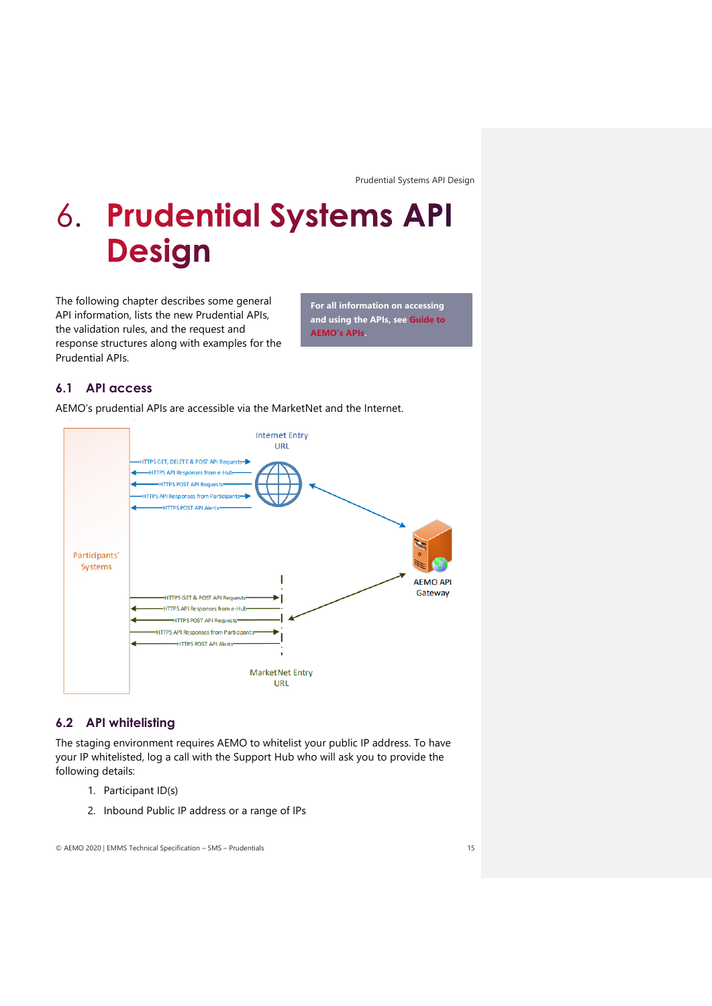# <span id="page-16-0"></span>6. Prudential Systems API **Design**

The following chapter describes some general API information, lists the new Prudential APIs, the validation rules, and the request and response structures along with examples for the Prudential APIs.

**For all information on accessing and using the APIs, see [Guide to](https://www.aemo.com.au/-/media/Files/Electricity/NEM/IT-Systems-and-Change/2018/Guide-to-AEMOs-eHub-APIs.pdf)  [AEMO's APIs](https://www.aemo.com.au/-/media/Files/Electricity/NEM/IT-Systems-and-Change/2018/Guide-to-AEMOs-eHub-APIs.pdf).** 

# <span id="page-16-1"></span>**6.1 API access**

AEMO's prudential APIs are accessible via the MarketNet and the Internet.



# <span id="page-16-2"></span>**6.2 API whitelisting**

The staging environment requires AEMO to whitelist your public IP address. To have your IP whitelisted, log a call with the Support Hub who will ask you to provide the following details:

- 1. Participant ID(s)
- 2. Inbound Public IP address or a range of IPs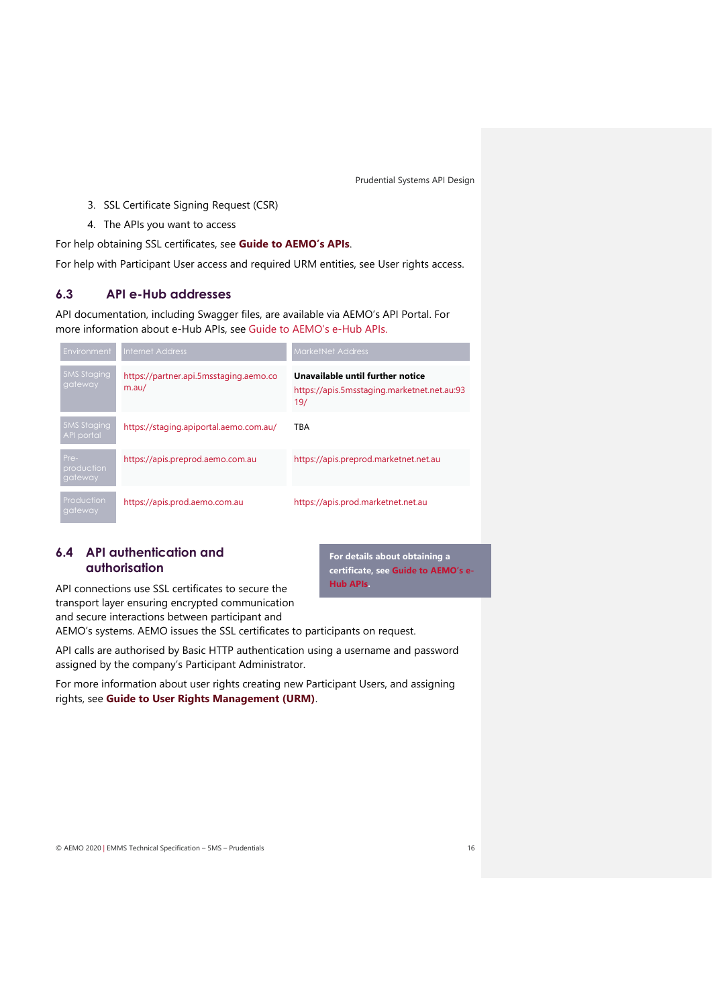- 3. SSL Certificate Signing Request (CSR)
- 4. The APIs you want to access

For help obtaining SSL certificates, see **Guide to AEMO's APIs**.

For help with Participant User access and required URM entities, see [User rights access.](#page-18-2)

### <span id="page-17-0"></span>**6.3 API e-Hub addresses**

API documentation, including Swagger files, are available via AEMO's API Portal. For more information about e-Hub APIs, see Guide to AEMO's e-Hub APIs.

| Environment                             | <b>Internet Address</b>                         | <b>MarketNet Address</b>                                                               |
|-----------------------------------------|-------------------------------------------------|----------------------------------------------------------------------------------------|
| <b>5MS Staging</b><br>gateway           | https://partner.api.5msstaging.aemo.co<br>m.au/ | Unavailable until further notice<br>https://apis.5msstaging.marketnet.net.au:93<br>19/ |
| <b>5MS Staging</b><br><b>API portal</b> | https://staging.apiportal.aemo.com.au/          | TBA                                                                                    |
| Pre-<br>production<br>gateway           | https://apis.preprod.aemo.com.au                | https://apis.preprod.marketnet.net.au                                                  |
| Production<br>gateway                   | https://apis.prod.aemo.com.au                   | https://apis.prod.marketnet.net.au                                                     |

API calls are authorised by Basic HTTP authentication using a username and password

For more information about user rights creating new Participant Users, and assigning

# <span id="page-17-1"></span>**6.4 API authentication and authorisation**

API connections use SSL certificates to secure the transport layer ensuring encrypted communication and secure interactions between participant and AEMO's systems. AEMO issues the SSL certificates to participants on request.

assigned by the company's Participant Administrator.

rights, see **[Guide to User Rights Management \(URM\)](http://www.aemo.com.au/-/media/Files/Electricity/NEM/Retail_and_Metering/Metering-Procedures/2016/Guide_to_User_Rights_Management.pdf)**.

**For details about obtaining a certificate, see [Guide to AEMO's](https://www.aemo.com.au/-/media/Files/Electricity/NEM/IT-Systems-and-Change/2018/Guide-to-AEMOs-eHub-APIs.pdf) e-[Hub APIs.](https://www.aemo.com.au/-/media/Files/Electricity/NEM/IT-Systems-and-Change/2018/Guide-to-AEMOs-eHub-APIs.pdf)**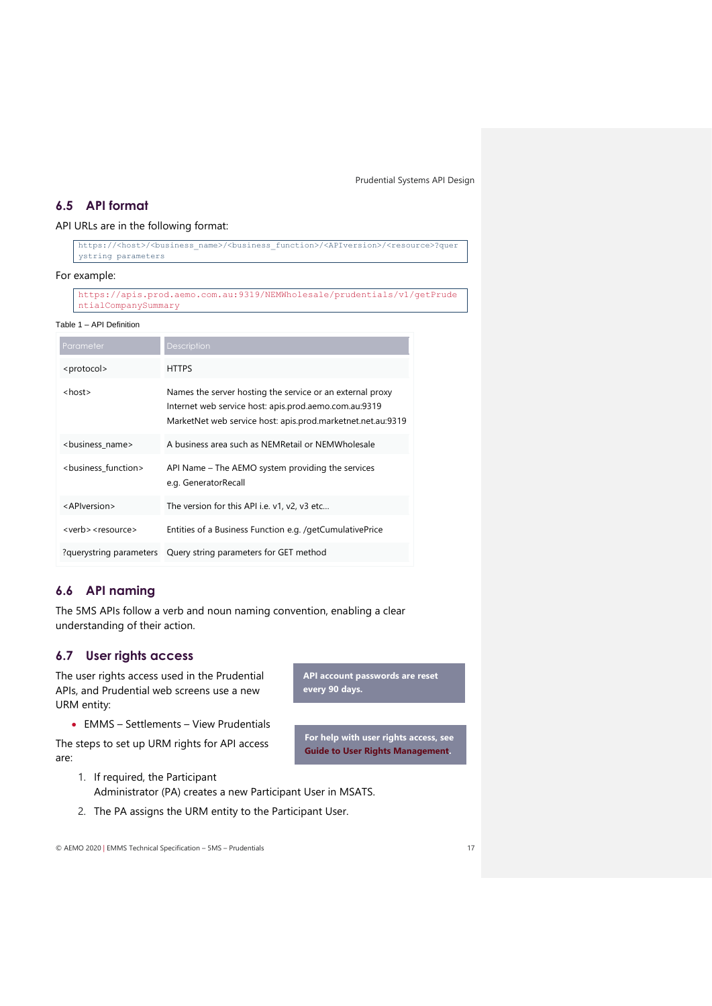### <span id="page-18-0"></span>**6.5 API format**

#### API URLs are in the following format:

https://<host>/<br/>susiness\_name>/<br/>susiness\_function>/<APIversion>/<resource>?quer ystring parameters

#### For example:

[https://apis.prod.aemo.com.au:9319/NEMWholesale/prudentials/v1/getPrude](https://apis.prod.aemo.com.au:9319/NEMWholesale/prudentials/v1/getPrudentialCompanySummary) [ntialCompanySummary](https://apis.prod.aemo.com.au:9319/NEMWholesale/prudentials/v1/getPrudentialCompanySummary)

#### Table 1 – API Definition

| Parameter                           | <b>Description</b>                                                                                                                                                                |
|-------------------------------------|-----------------------------------------------------------------------------------------------------------------------------------------------------------------------------------|
| <protocol></protocol>               | <b>HTTPS</b>                                                                                                                                                                      |
| $<$ host $>$                        | Names the server hosting the service or an external proxy<br>Internet web service host: apis.prod.aemo.com.au:9319<br>MarketNet web service host: apis.prod.marketnet.net.au:9319 |
| <business name=""></business>       | A business area such as NEMRetail or NEMWholesale                                                                                                                                 |
| <business function=""></business>   | API Name - The AEMO system providing the services<br>e.g. GeneratorRecall                                                                                                         |
| <apiversion></apiversion>           | The version for this API i.e. v1, v2, v3 etc                                                                                                                                      |
| <verb> <resource></resource></verb> | Entities of a Business Function e.g. /getCumulativePrice                                                                                                                          |
| ?querystring parameters             | Query string parameters for GET method                                                                                                                                            |

#### <span id="page-18-1"></span>**6.6 API naming**

The 5MS APIs follow a verb and noun naming convention, enabling a clear understanding of their action.

# <span id="page-18-2"></span>**6.7 User rights access**

The user rights access used in the Prudential APIs, and Prudential web screens use a new URM entity:

• EMMS – Settlements – View Prudentials

The steps to set up URM rights for API access are:

- 1. If required, the Participant Administrator (PA) creates a new Participant User in MSATS.
- 2. The PA assigns the URM entity to the Participant User.

© AEMO 2020 | EMMS Technical Specification – 5MS – Prudentials 17

**API account passwords are reset every 90 days.**

**For help with user rights access, see Guide to User Rights Management.**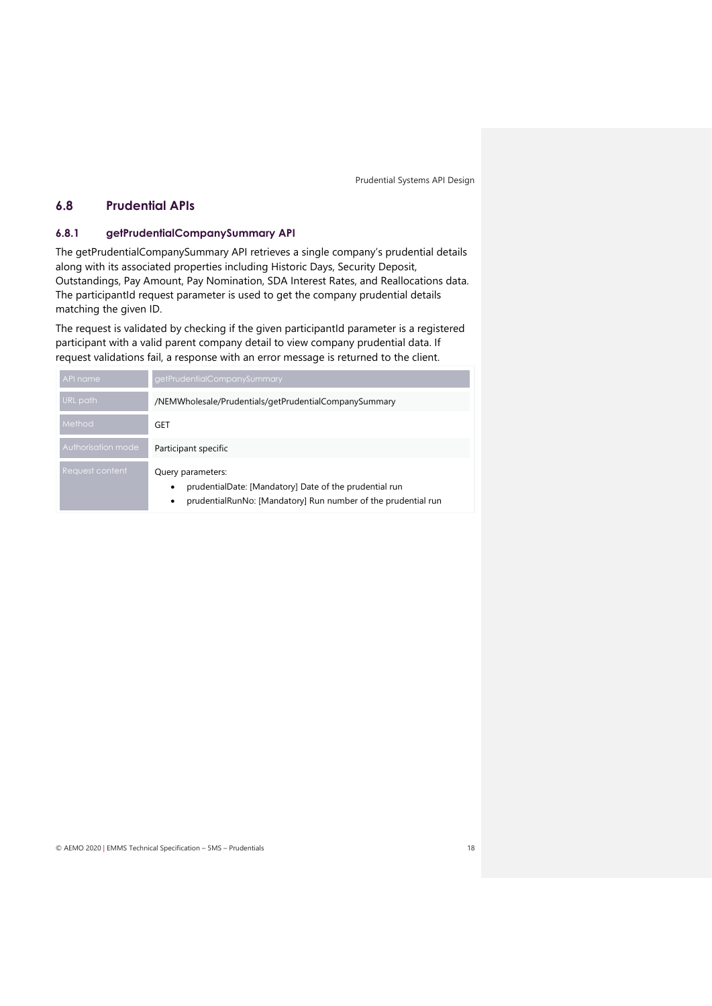# <span id="page-19-0"></span>**6.8 Prudential APIs**

# **6.8.1 getPrudentialCompanySummary API**

The getPrudentialCompanySummary API retrieves a single company's prudential details along with its associated properties including Historic Days, Security Deposit, Outstandings, Pay Amount, Pay Nomination, SDA Interest Rates, and Reallocations data. The participantId request parameter is used to get the company prudential details matching the given ID.

The request is validated by checking if the given participantId parameter is a registered participant with a valid parent company detail to view company prudential data. If request validations fail, a response with an error message is returned to the client.

| API name           | getPrudentialCompanySummary                                                                                                                            |
|--------------------|--------------------------------------------------------------------------------------------------------------------------------------------------------|
| URL path           | /NEMWholesale/Prudentials/getPrudentialCompanySummary                                                                                                  |
| Method             | GET                                                                                                                                                    |
| Authorisation mode | Participant specific                                                                                                                                   |
| Request content    | Query parameters:<br>prudentialDate: [Mandatory] Date of the prudential run<br>٠<br>prudentialRunNo: [Mandatory] Run number of the prudential run<br>٠ |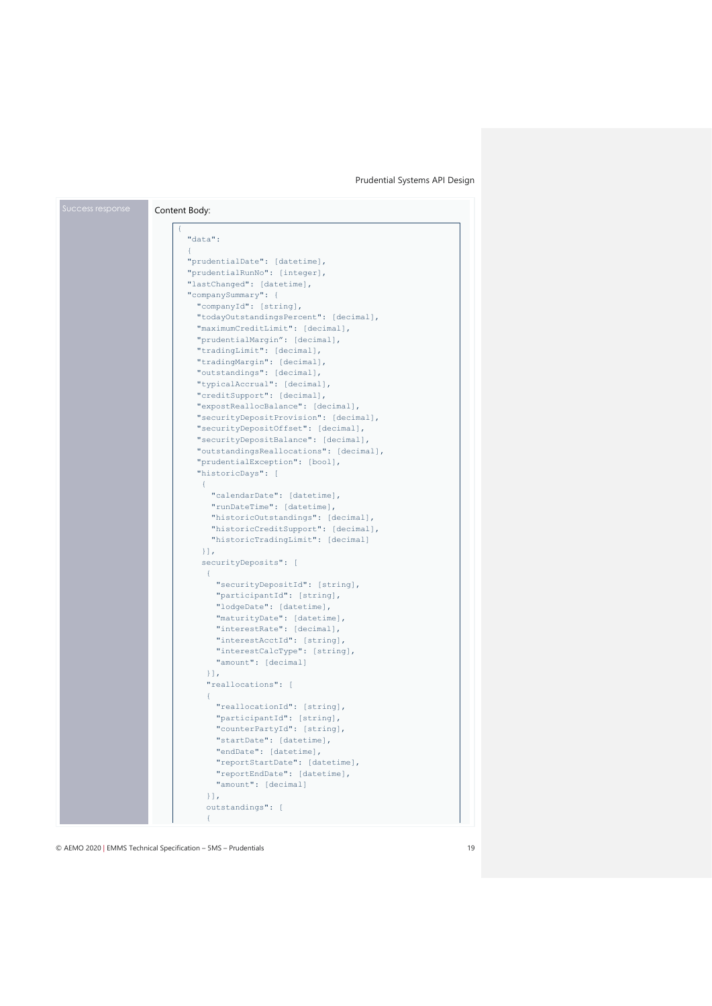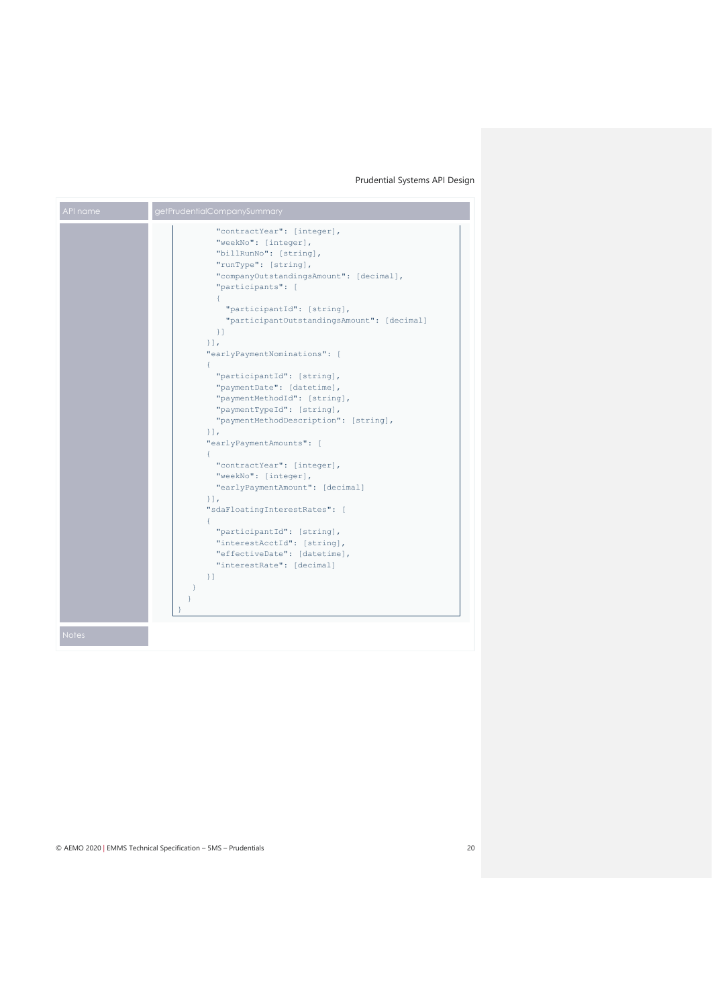| API name     | getPrudentialCompanySummary                                                                                                                                                                                                                                                                                                                                                                                                                                                                                                                                                                                                                                                                                                                                                                                                                      |
|--------------|--------------------------------------------------------------------------------------------------------------------------------------------------------------------------------------------------------------------------------------------------------------------------------------------------------------------------------------------------------------------------------------------------------------------------------------------------------------------------------------------------------------------------------------------------------------------------------------------------------------------------------------------------------------------------------------------------------------------------------------------------------------------------------------------------------------------------------------------------|
|              | "contractYear": [integer],<br>"weekNo": [integer],<br>"billRunNo": [string],<br>"runType": [string],<br>"companyOutstandingsAmount": [decimal],<br>"participants": [<br>€<br>"participantId": [string],<br>"participantOutstandingsAmount": [decimal]<br>$\overline{1}$<br>11.<br>"earlyPaymentNominations": [<br>"participantId": [string],<br>"paymentDate": [datetime],<br>"paymentMethodId": [string],<br>"paymentTypeId": [string],<br>"paymentMethodDescription": [string],<br>$\vert \cdot \vert$<br>"earlyPaymentAmounts": [<br>€<br>"contractYear": [integer],<br>"weekNo": [integer],<br>"earlyPaymentAmount": [decimal]<br>$\vert \cdot \vert$ ,<br>"sdaFloatingInterestRates": [<br>€<br>"participantId": [string],<br>"interestAcctId": [string],<br>"effectiveDate": [datetime],<br>"interestRate": [decimal]<br>$  \cdot  $<br>J. |
| <b>Notes</b> |                                                                                                                                                                                                                                                                                                                                                                                                                                                                                                                                                                                                                                                                                                                                                                                                                                                  |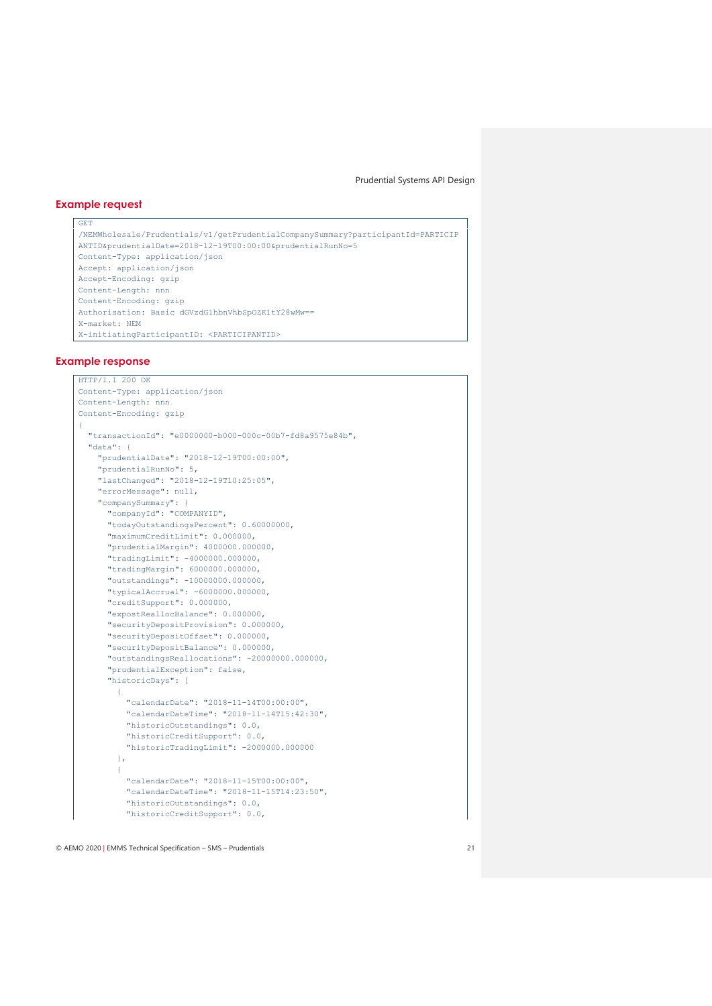#### **Example request**

GET /NEMWholesale/Prudentials/v1/getPrudentialCompanySummary?participantId=PARTICIP ANTID&prudentialDate=2018-12-19T00:00:00&prudentialRunNo=5 Content-Type: application/json Accept: application/json Accept-Encoding: gzip Content-Length: nnn Content-Encoding: gzip Authorisation: Basic dGVzdG1hbnVhbSpOZK1tY28wMw== X-market: NEM X-initiatingParticipantID: <PARTICIPANTID>

#### **Example response**

HTTP/1.1 200 OK Content-Type: application/json Content-Length: nnn Content-Encoding: gzip { "transactionId": "e0000000-b000-000c-00b7-fd8a9575e84b", "data": { "prudentialDate": "2018-12-19T00:00:00", "prudentialRunNo": 5, "lastChanged": "2018-12-19T10:25:05", "errorMessage": null, "companySummary": { "companyId": "COMPANYID", "todayOutstandingsPercent": 0.60000000, "maximumCreditLimit": 0.000000, "prudentialMargin": 4000000.000000, "tradingLimit": -4000000.000000, "tradingMargin": 6000000.000000, "outstandings": -10000000.000000, "typicalAccrual": -6000000.000000, "creditSupport": 0.000000, "expostReallocBalance": 0.000000, "securityDepositProvision": 0.000000, "securityDepositOffset": 0.000000, "securityDepositBalance": 0.000000, "outstandingsReallocations": -20000000.000000, "prudentialException": false, "historicDays": [ √ "calendarDate": "2018-11-14T00:00:00", "calendarDateTime": "2018-11-14T15:42:30", "historicOutstandings": 0.0, "historicCreditSupport": 0.0, "historicTradingLimit": -2000000.000000 },  $\sim$   $\sim$   $\sim$   $\sim$  "calendarDate": "2018-11-15T00:00:00", "calendarDateTime": "2018-11-15T14:23:50", "historicOutstandings": 0.0, "historicCreditSupport": 0.0,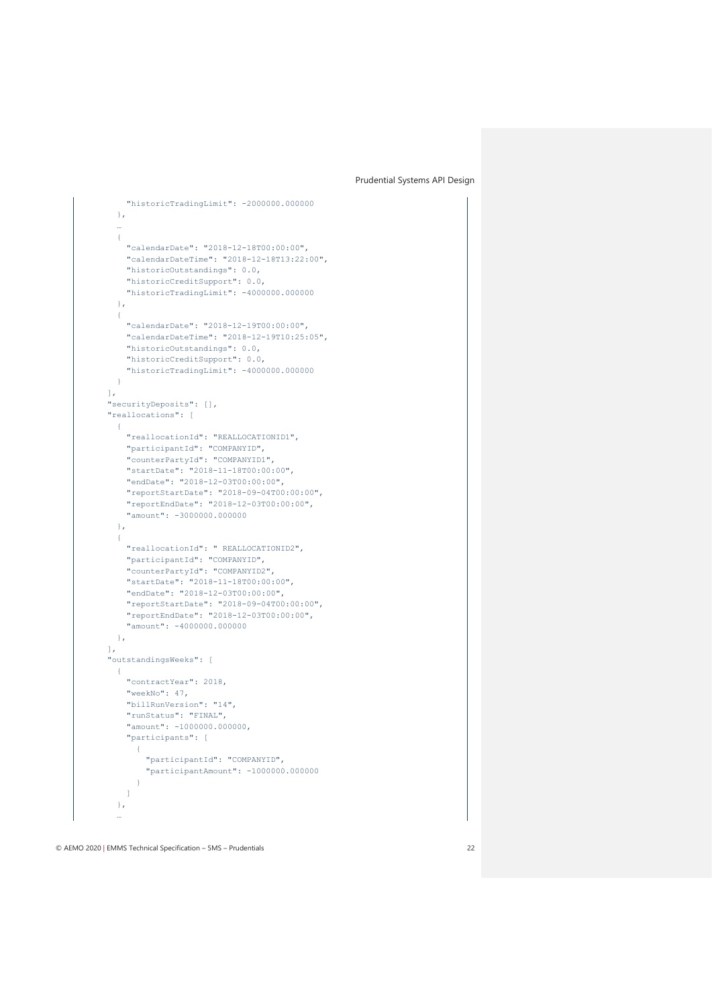```
 "historicTradingLimit": -2000000.000000
        },
 …
        {
          "calendarDate": "2018-12-18T00:00:00",
          "calendarDateTime": "2018-12-18T13:22:00",
          "historicOutstandings": 0.0,
          "historicCreditSupport": 0.0,
          "historicTradingLimit": -4000000.000000
        },
         {
          "calendarDate": "2018-12-19T00:00:00",
          "calendarDateTime": "2018-12-19T10:25:05",
          "historicOutstandings": 0.0,
          "historicCreditSupport": 0.0,
          "historicTradingLimit": -4000000.000000
        }
      ],
      "securityDeposits": [],
      "reallocations": [
        {
          "reallocationId": "REALLOCATIONID1",
          "participantId": "COMPANYID",
          "counterPartyId": "COMPANYID1",
          "startDate": "2018-11-18T00:00:00",
          "endDate": "2018-12-03T00:00:00",
          "reportStartDate": "2018-09-04T00:00:00",
          "reportEndDate": "2018-12-03T00:00:00",
          "amount": -3000000.000000
        },
        {
          "reallocationId": " REALLOCATIONID2",
          "participantId": "COMPANYID",
          "counterPartyId": "COMPANYID2",
          "startDate": "2018-11-18T00:00:00",
          "endDate": "2018-12-03T00:00:00",
          "reportStartDate": "2018-09-04T00:00:00",
          "reportEndDate": "2018-12-03T00:00:00",
          "amount": -4000000.000000
        },
      ],
      "outstandingsWeeks": [
        {
          "contractYear": 2018,
          "weekNo": 47,
          "billRunVersion": "14",
          "runStatus": "FINAL",
          "amount": -1000000.000000,
          "participants": [
            {
              "participantId": "COMPANYID",
               "participantAmount": -1000000.000000
 }
          ]
         },
 …
```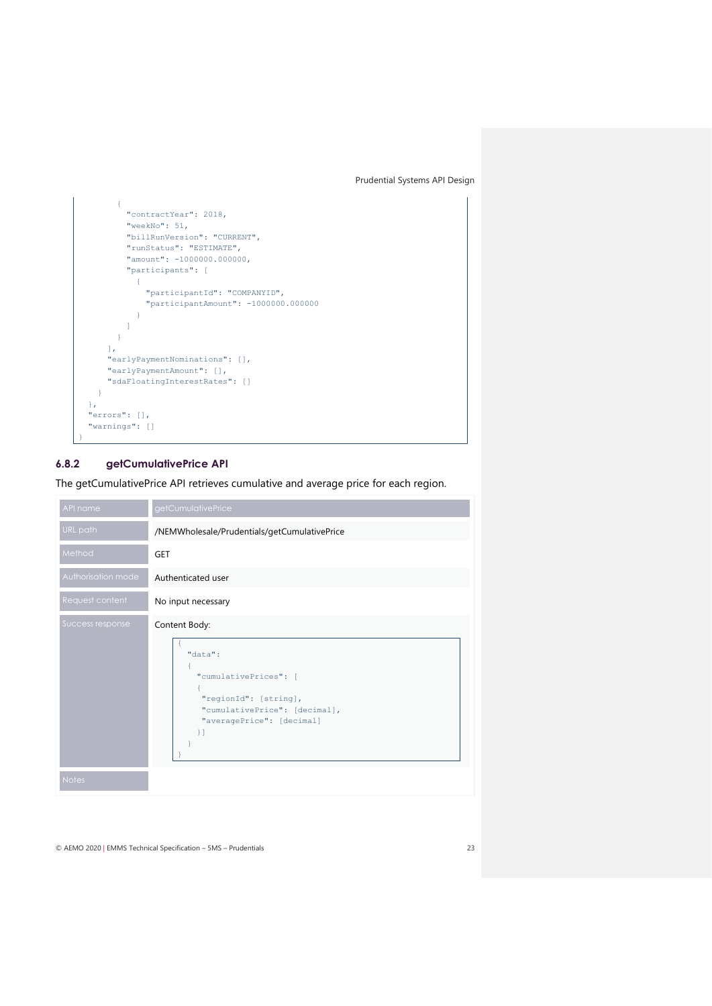

# **6.8.2 getCumulativePrice API**

The getCumulativePrice API retrieves cumulative and average price for each region.

| API name           | getCumulativePrice                                                                                                                                  |  |
|--------------------|-----------------------------------------------------------------------------------------------------------------------------------------------------|--|
| URL path           | /NEMWholesale/Prudentials/getCumulativePrice                                                                                                        |  |
| Method             | <b>GET</b>                                                                                                                                          |  |
| Authorisation mode | Authenticated user                                                                                                                                  |  |
| Request content    | No input necessary                                                                                                                                  |  |
| Success response   | Content Body:<br>"data":<br>"cumulativePrices": [<br>"regionId": [string],<br>"cumulativePrice": [decimal],<br>"averagePrice": [decimal]<br>$^{11}$ |  |
| <b>Notes</b>       |                                                                                                                                                     |  |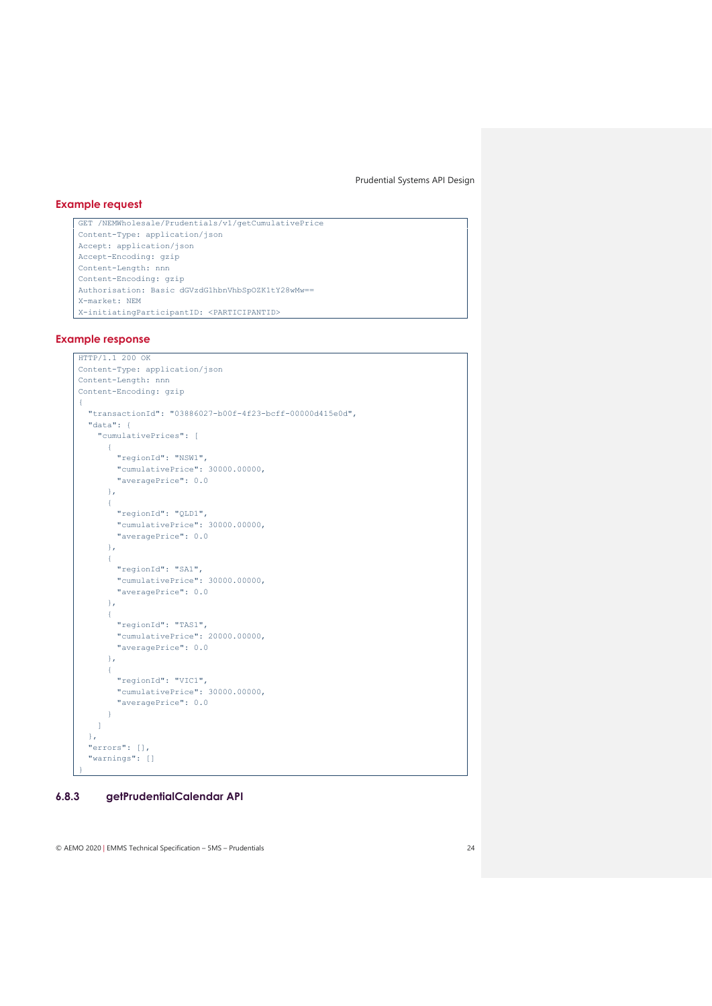#### **Example request**

```
GET /NEMWholesale/Prudentials/v1/getCumulativePrice
Content-Type: application/json 
Accept: application/json 
Accept-Encoding: gzip 
Content-Length: nnn 
Content-Encoding: gzip 
Authorisation: Basic dGVzdG1hbnVhbSpOZK1tY28wMw== 
X-market: NEM 
X-initiatingParticipantID: <PARTICIPANTID>
```
### **Example response**

```
HTTP/1.1 200 OK 
Content-Type: application/json 
Content-Length: nnn 
Content-Encoding: gzip 
{
  "transactionId": "03886027-b00f-4f23-bcff-00000d415e0d",
  "data": {
     "cumulativePrices": [
     \left\{ \right. "regionId": "NSW1",
         "cumulativePrice": 30000.00000,
         "averagePrice": 0.0
       },
      \{ "regionId": "QLD1",
         "cumulativePrice": 30000.00000,
         "averagePrice": 0.0
      },
       {
        "regionId": "SA1",
         "cumulativePrice": 30000.00000,
         "averagePrice": 0.0
       },
       {
         "regionId": "TAS1",
         "cumulativePrice": 20000.00000,
         "averagePrice": 0.0
       },
       {
 "regionId": "VIC1",
 "cumulativePrice": 30000.00000,
         "averagePrice": 0.0
      }
    ]
   },
   "errors": [],
   "warnings": []
}
```
#### **6.8.3 getPrudentialCalendar API**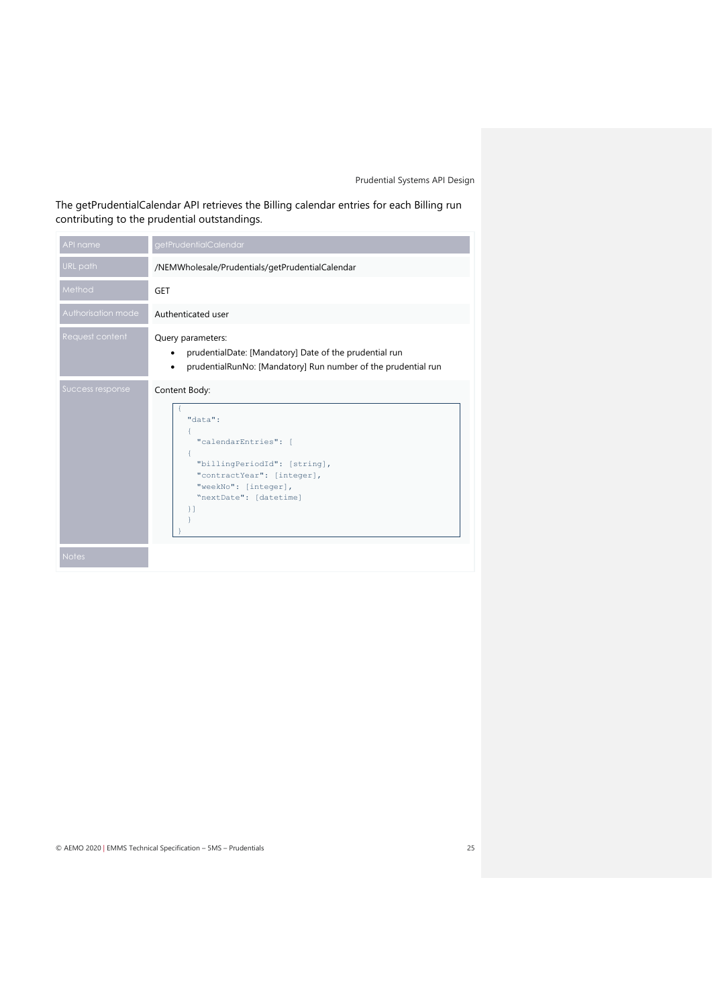The getPrudentialCalendar API retrieves the Billing calendar entries for each Billing run contributing to the prudential outstandings.

| API name           | getPrudentialCalendar                                                                                                                                                       |
|--------------------|-----------------------------------------------------------------------------------------------------------------------------------------------------------------------------|
| URL path           | /NEMWholesale/Prudentials/getPrudentialCalendar                                                                                                                             |
| Method             | <b>GET</b>                                                                                                                                                                  |
| Authorisation mode | Authenticated user                                                                                                                                                          |
| Request content    | Query parameters:<br>prudentialDate: [Mandatory] Date of the prudential run<br>prudentialRunNo: [Mandatory] Run number of the prudential run<br>$\bullet$                   |
| Success response   | Content Body:<br>"data":<br>"calendarEntries": [<br>"billingPeriodId": [string],<br>"contractYear": [integer],<br>"weekNo": [integer],<br>"nextDate": [datetime]<br>$^{11}$ |
| <b>Notes</b>       |                                                                                                                                                                             |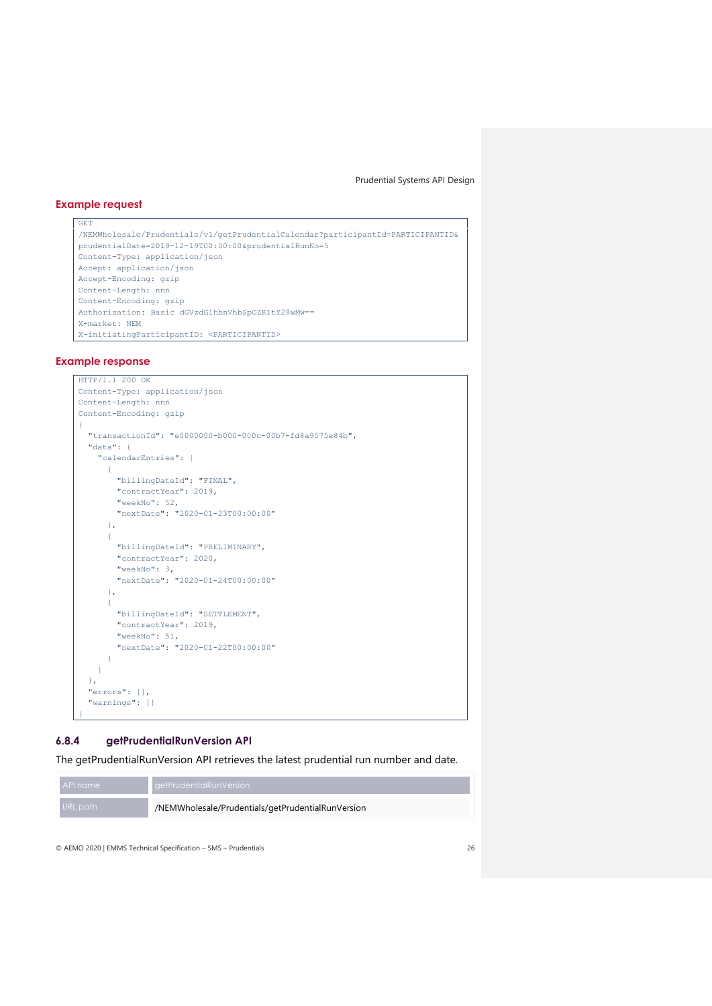#### **Example request**

**GET** /NEMWholesale/Prudentials/v1/getPrudentialCalendar?participantId=PARTICIPANTID& prudentialDate=2019-12-19T00:00:00&prudentialRunNo=5 Content-Type: application/json Accept: application/json Accept-Encoding: gzip Content-Length: nnn Content-Encoding: gzip Authorisation: Basic dGVzdG1hbnVhbSpOZK1tY28wMw== X-market: NEM X-initiatingParticipantID: <PARTICIPANTID>

#### **Example response**



#### **6.8.4 getPrudentialRunVersion API**

The getPrudentialRunVersion API retrieves the latest prudential run number and date.

| API name | getPrudentialRunVersion                           |  |
|----------|---------------------------------------------------|--|
| URL path | /NEMWholesale/Prudentials/getPrudentialRunVersion |  |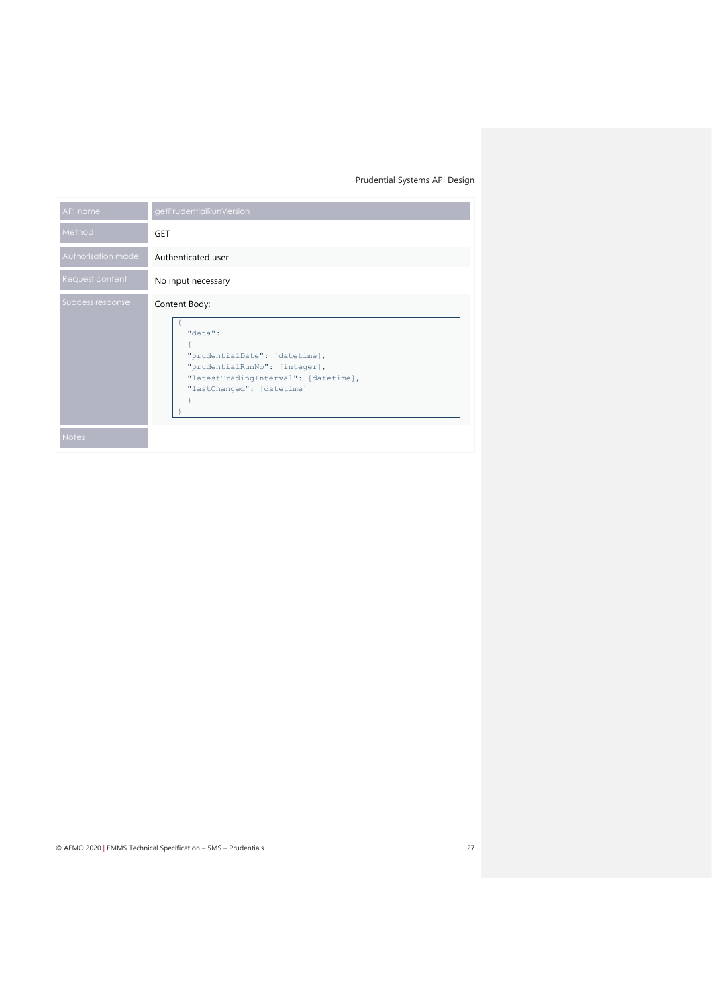| API name           | getPrudentialRunVersion                                                                                                                                         |
|--------------------|-----------------------------------------------------------------------------------------------------------------------------------------------------------------|
| Method             | <b>GET</b>                                                                                                                                                      |
| Authorisation mode | Authenticated user                                                                                                                                              |
| Request content    | No input necessary                                                                                                                                              |
| Success response   | Content Body:<br>"data":<br>"prudentialDate": [datetime],<br>"prudentialRunNo": [integer],<br>"latestTradingInterval": [datetime],<br>"lastChanged": [datetime] |
| <b>Notes</b>       |                                                                                                                                                                 |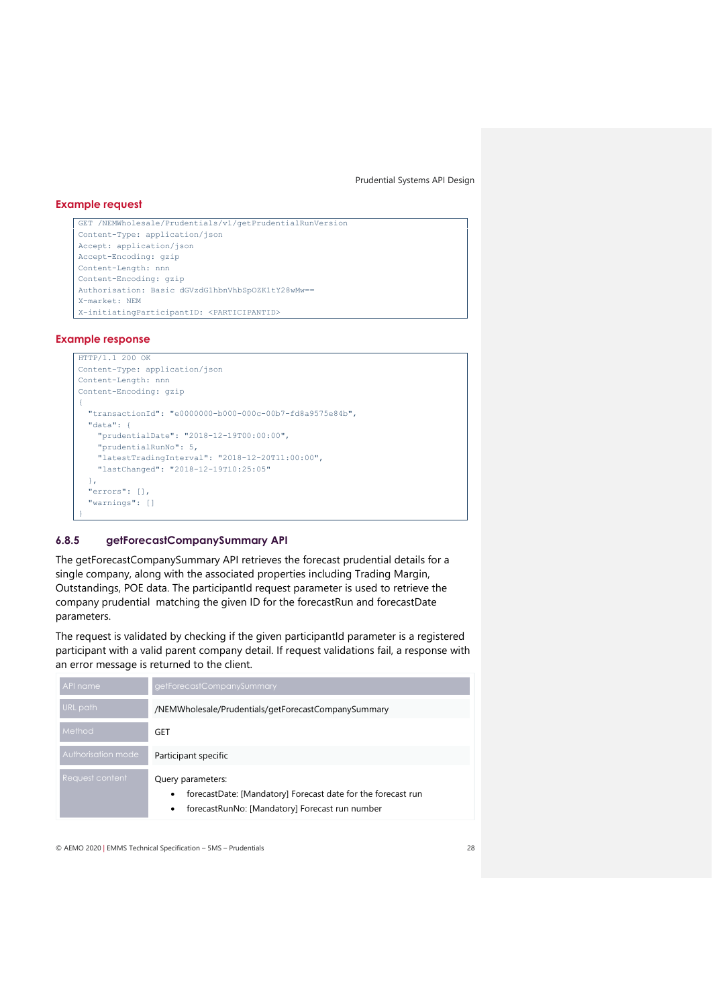#### **Example request**

```
GET /NEMWholesale/Prudentials/v1/getPrudentialRunVersion
Content-Type: application/json 
Accept: application/json 
Accept-Encoding: gzip 
Content-Length: nnn 
Content-Encoding: gzip 
Authorisation: Basic dGVzdG1hbnVhbSpOZK1tY28wMw== 
X-market: NEM 
X-initiatingParticipantID: <PARTICIPANTID>
```
#### **Example response**

```
HTTP/1.1 200 OK 
Content-Type: application/json 
Content-Length: nnn 
Content-Encoding: gzip 
{
  "transactionId": "e0000000-b000-000c-00b7-fd8a9575e84b",
  "data": {
    "prudentialDate": "2018-12-19T00:00:00",
     "prudentialRunNo": 5,
    "latestTradingInterval": "2018-12-20T11:00:00",
    "lastChanged": "2018-12-19T10:25:05"
  },
   "errors": [],
   "warnings": []
}
```
### **6.8.5 getForecastCompanySummary API**

The getForecastCompanySummary API retrieves the forecast prudential details for a single company, along with the associated properties including Trading Margin, Outstandings, POE data. The participantId request parameter is used to retrieve the company prudential matching the given ID for the forecastRun and forecastDate parameters.

The request is validated by checking if the given participantId parameter is a registered participant with a valid parent company detail. If request validations fail, a response with an error message is returned to the client.

| API name           | getForecastCompanySummary                                                                                                                |
|--------------------|------------------------------------------------------------------------------------------------------------------------------------------|
| URL path           | /NEMWholesale/Prudentials/getForecastCompanySummary                                                                                      |
| Method             | GET                                                                                                                                      |
| Authorisation mode | Participant specific                                                                                                                     |
| Request content    | Query parameters:<br>forecastDate: [Mandatory] Forecast date for the forecast run<br>forecastRunNo: [Mandatory] Forecast run number<br>٠ |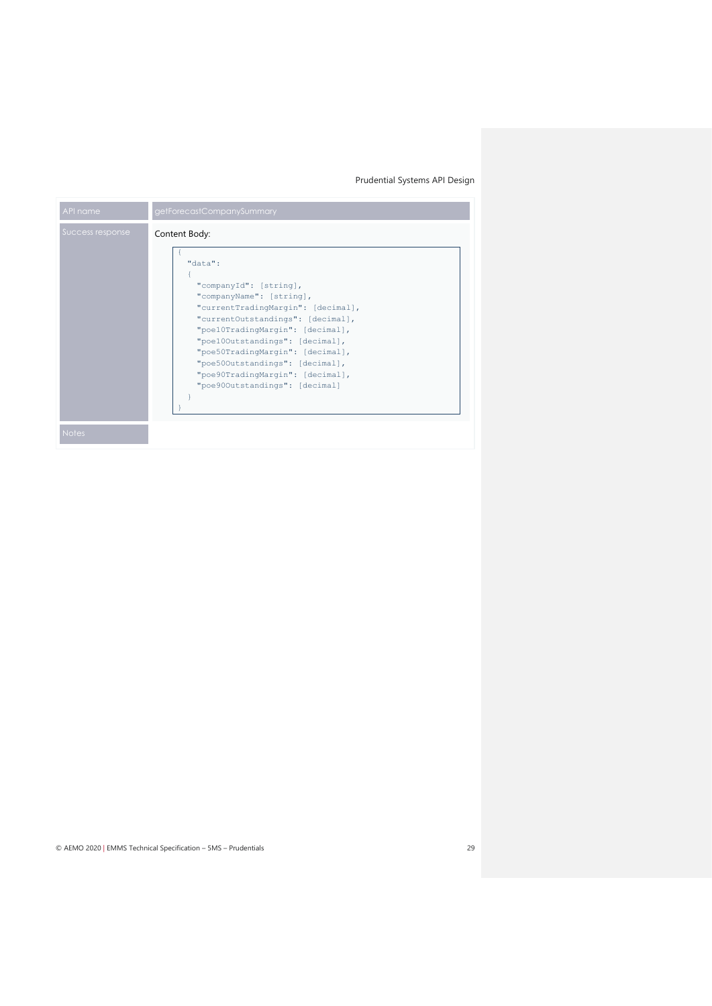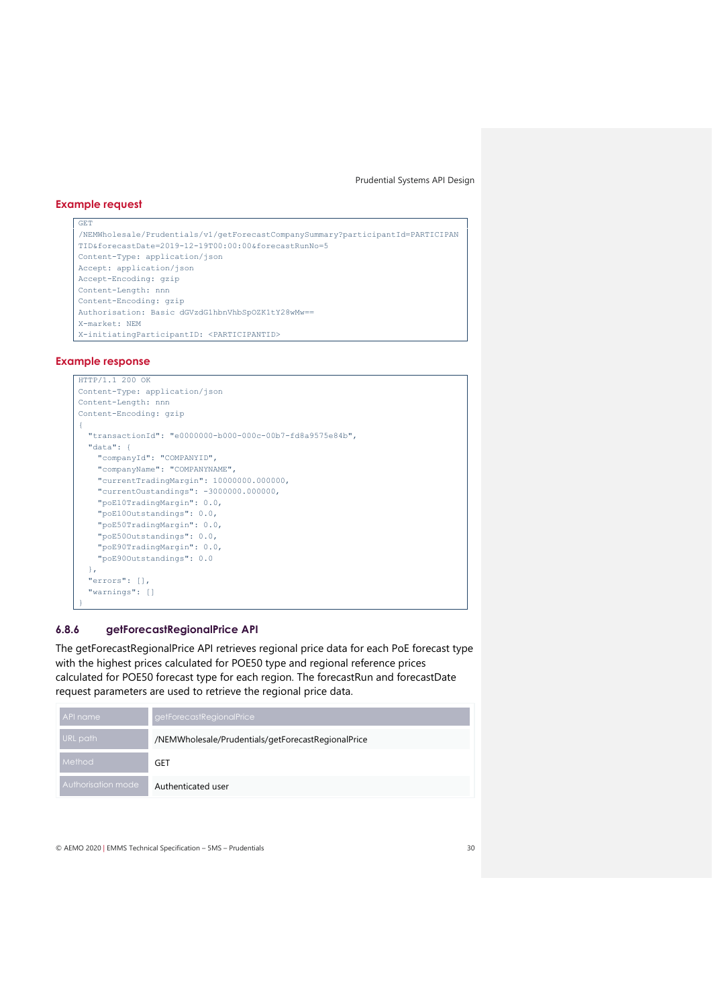#### **Example request**

GET /NEMWholesale/Prudentials/v1/getForecastCompanySummary?participantId=PARTICIPAN TID&forecastDate=2019-12-19T00:00:00&forecastRunNo=5 Content-Type: application/json Accept: application/json Accept-Encoding: gzip Content-Length: nnn Content-Encoding: gzip Authorisation: Basic dGVzdG1hbnVhbSpOZK1tY28wMw== X-market: NEM X-initiatingParticipantID: <PARTICIPANTID>

#### **Example response**



#### **6.8.6 getForecastRegionalPrice API**

The getForecastRegionalPrice API retrieves regional price data for each PoE forecast type with the highest prices calculated for POE50 type and regional reference prices calculated for POE50 forecast type for each region. The forecastRun and forecastDate request parameters are used to retrieve the regional price data.

| API name           | getForecastRegionalPrice                           |
|--------------------|----------------------------------------------------|
| URL path           | /NEMWholesale/Prudentials/getForecastRegionalPrice |
| Method             | GET                                                |
| Authorisation mode | Authenticated user                                 |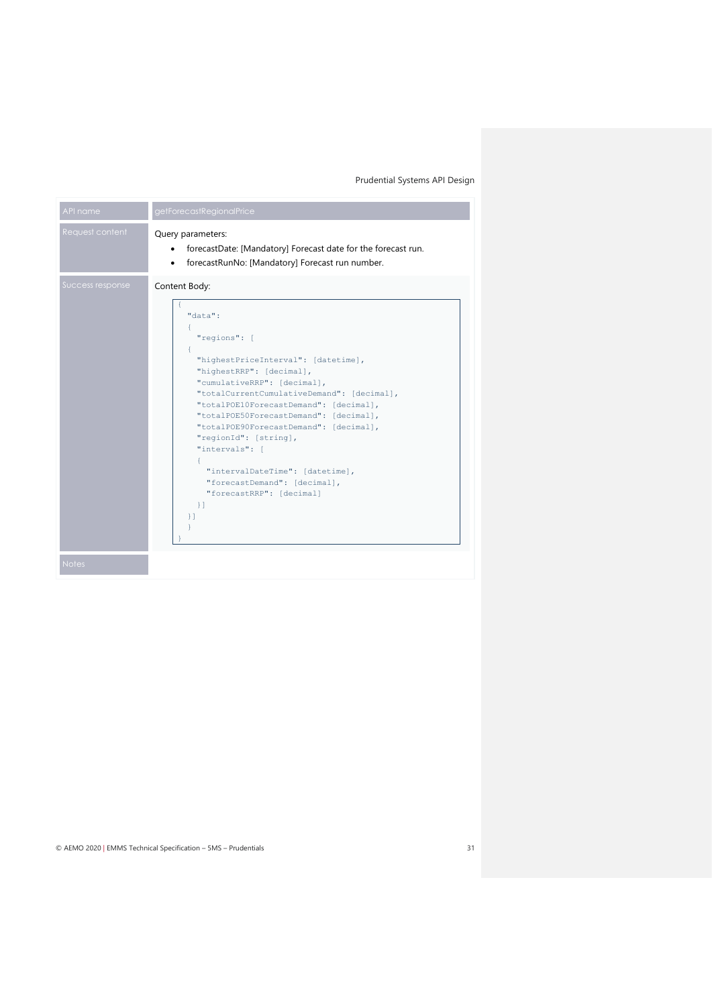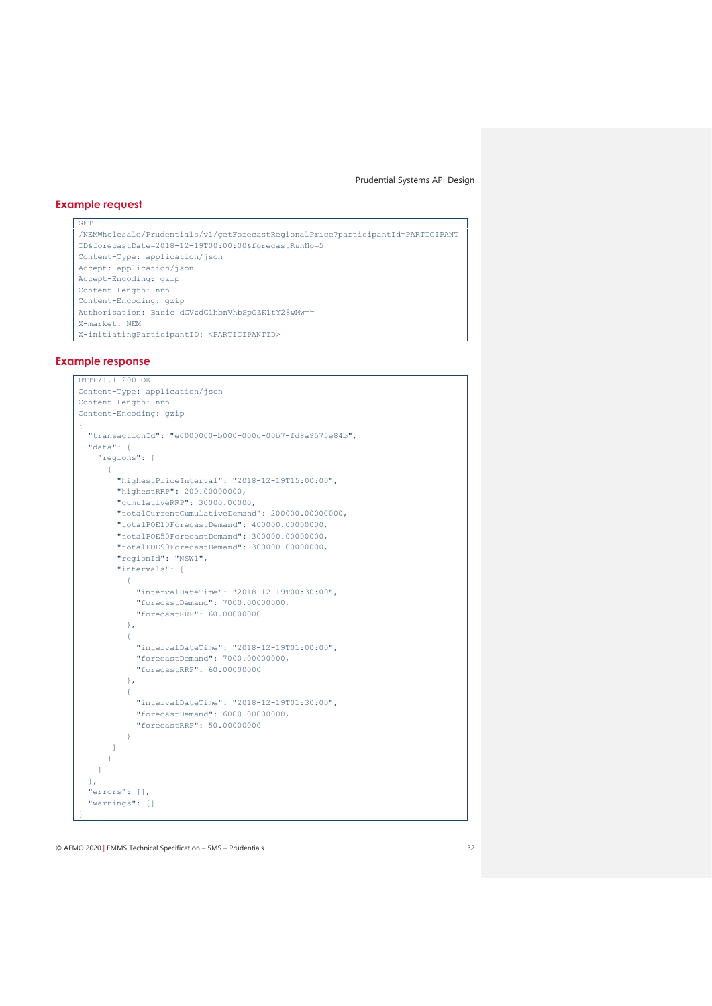#### **Example request**

```
GET
/NEMWholesale/Prudentials/v1/getForecastRegionalPrice?participantId=PARTICIPANT
ID&forecastDate=2018-12-19T00:00:00&forecastRunNo=5
Content-Type: application/json 
Accept: application/json 
Accept-Encoding: gzip 
Content-Length: nnn 
Content-Encoding: gzip 
Authorisation: Basic dGVzdG1hbnVhbSpOZK1tY28wMw== 
X-market: NEM 
X-initiatingParticipantID: <PARTICIPANTID>
```
#### **Example response**

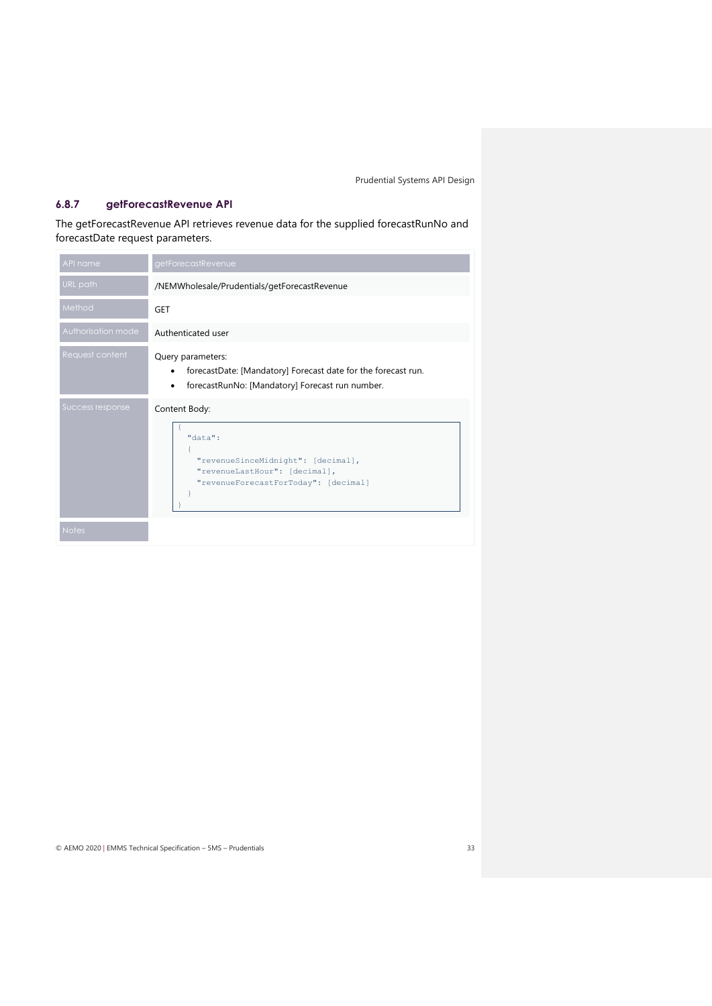# **6.8.7 getForecastRevenue API**

The getForecastRevenue API retrieves revenue data for the supplied forecastRunNo and forecastDate request parameters.

| API name           | getForecastRevenue                                                                                                                                 |
|--------------------|----------------------------------------------------------------------------------------------------------------------------------------------------|
| URL path           | /NEMWholesale/Prudentials/getForecastRevenue                                                                                                       |
| Method             | <b>GET</b>                                                                                                                                         |
| Authorisation mode | Authenticated user                                                                                                                                 |
| Request content    | Query parameters:<br>forecastDate: [Mandatory] Forecast date for the forecast run.<br>forecastRunNo: [Mandatory] Forecast run number.<br>$\bullet$ |
| Success response   | Content Body:<br>"data":<br>"revenueSinceMidnight": [decimal],<br>"revenueLastHour": [decimal],<br>"revenueForecastForToday": [decimal]            |
| <b>Notes</b>       |                                                                                                                                                    |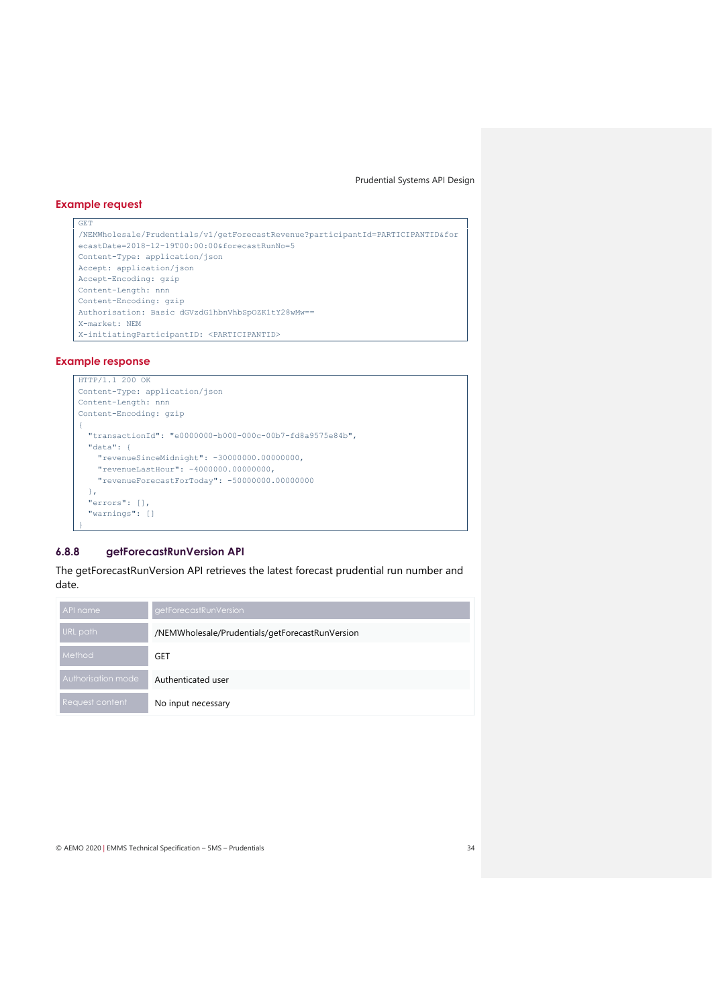#### **Example request**

```
GET
/NEMWholesale/Prudentials/v1/getForecastRevenue?participantId=PARTICIPANTID&for
ecastDate=2018-12-19T00:00:00&forecastRunNo=5
Content-Type: application/json 
Accept: application/json 
Accept-Encoding: gzip 
Content-Length: nnn 
Content-Encoding: gzip 
Authorisation: Basic dGVzdG1hbnVhbSpOZK1tY28wMw== 
X-market: NEM 
X-initiatingParticipantID: <PARTICIPANTID>
```
#### **Example response**

```
HTTP/1.1 200 OK 
Content-Type: application/json 
Content-Length: nnn 
Content-Encoding: gzip 
{
  "transactionId": "e0000000-b000-000c-00b7-fd8a9575e84b",
  "data": {
     "revenueSinceMidnight": -30000000.00000000,
     "revenueLastHour": -4000000.00000000,
     "revenueForecastForToday": -50000000.00000000
   },
   "errors": [],
   "warnings": []
}
```
#### **6.8.8 getForecastRunVersion API**

The getForecastRunVersion API retrieves the latest forecast prudential run number and date.

| API name           | getForecastRunVersion                           |
|--------------------|-------------------------------------------------|
| URL path           | /NEMWholesale/Prudentials/getForecastRunVersion |
| Method             | GET                                             |
| Authorisation mode | Authenticated user                              |
| Request content    | No input necessary                              |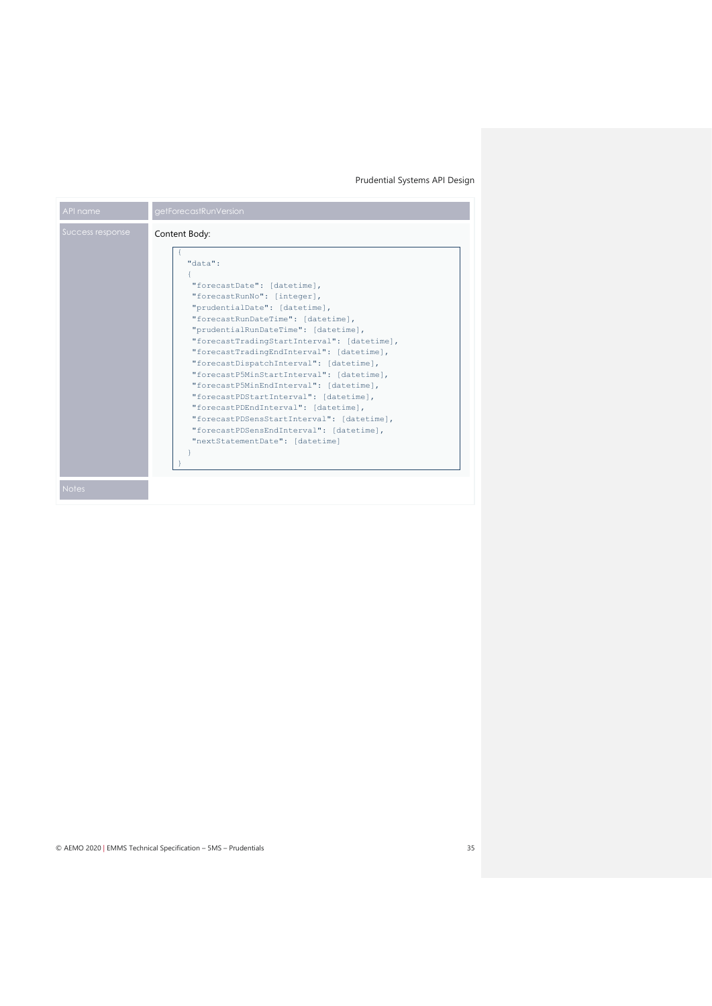| API name         | getForecastRunVersion                                                                                                                                                                                                                                                                                                                                                                                                                                                                                                                                                                                                              |  |
|------------------|------------------------------------------------------------------------------------------------------------------------------------------------------------------------------------------------------------------------------------------------------------------------------------------------------------------------------------------------------------------------------------------------------------------------------------------------------------------------------------------------------------------------------------------------------------------------------------------------------------------------------------|--|
| Success response | Content Body:                                                                                                                                                                                                                                                                                                                                                                                                                                                                                                                                                                                                                      |  |
|                  | "data":<br>"forecastDate": [datetime],<br>"forecastRunNo": [integer],<br>"prudentialDate": [datetime],<br>"forecastRunDateTime": [datetime],<br>"prudentialRunDateTime": [datetime],<br>"forecastTradingStartInterval": [datetime],<br>"forecastTradingEndInterval": [datetime],<br>"forecastDispatchInterval": [datetime],<br>"forecastP5MinStartInterval": [datetime],<br>"forecastP5MinEndInterval": [datetime],<br>"forecastPDStartInterval": [datetime],<br>"forecastPDEndInterval": [datetime],<br>"forecastPDSensStartInterval": [datetime],<br>"forecastPDSensEndInterval": [datetime],<br>"nextStatementDate": [datetime] |  |
| <b>Notes</b>     |                                                                                                                                                                                                                                                                                                                                                                                                                                                                                                                                                                                                                                    |  |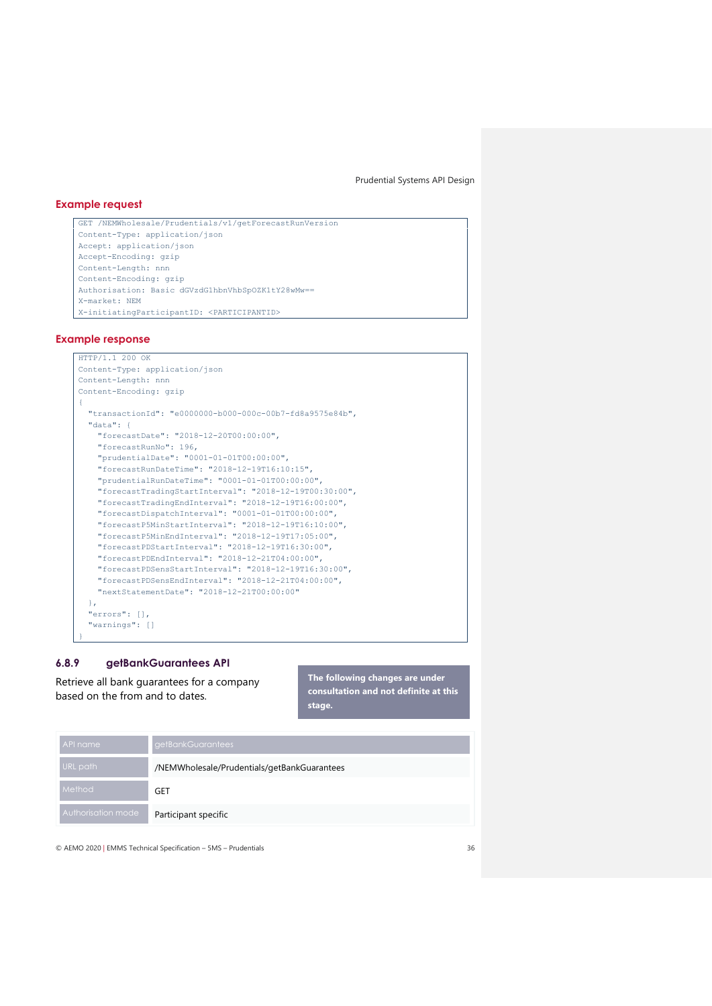#### **Example request**

```
GET /NEMWholesale/Prudentials/v1/getForecastRunVersion
Content-Type: application/json 
Accept: application/json 
Accept-Encoding: gzip 
Content-Length: nnn 
Content-Encoding: gzip 
Authorisation: Basic dGVzdG1hbnVhbSpOZK1tY28wMw== 
X-market: NEM 
X-initiatingParticipantID: <PARTICIPANTID>
```
#### **Example response**



#### <span id="page-37-0"></span>**6.8.9 getBankGuarantees API**

Retrieve all bank guarantees for a company based on the from and to dates.

**The following changes are under consultation and not definite at this stage.**

| API name           | getBankGuarantees                           |
|--------------------|---------------------------------------------|
| URL path           | /NEMWholesale/Prudentials/getBankGuarantees |
| Method             | GET                                         |
| Authorisation mode | Participant specific                        |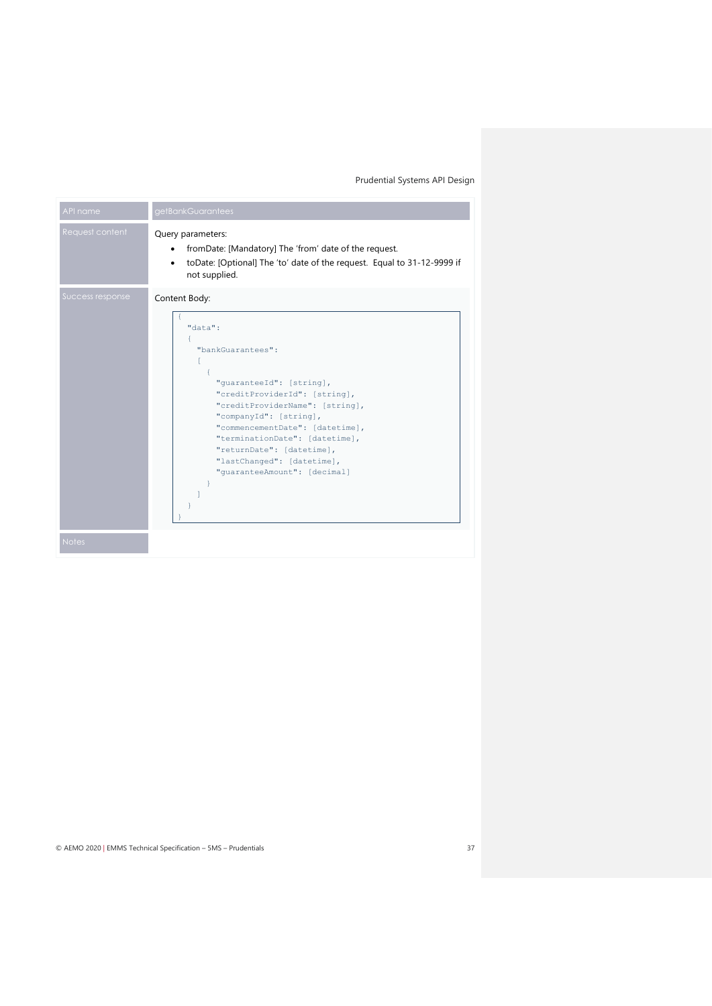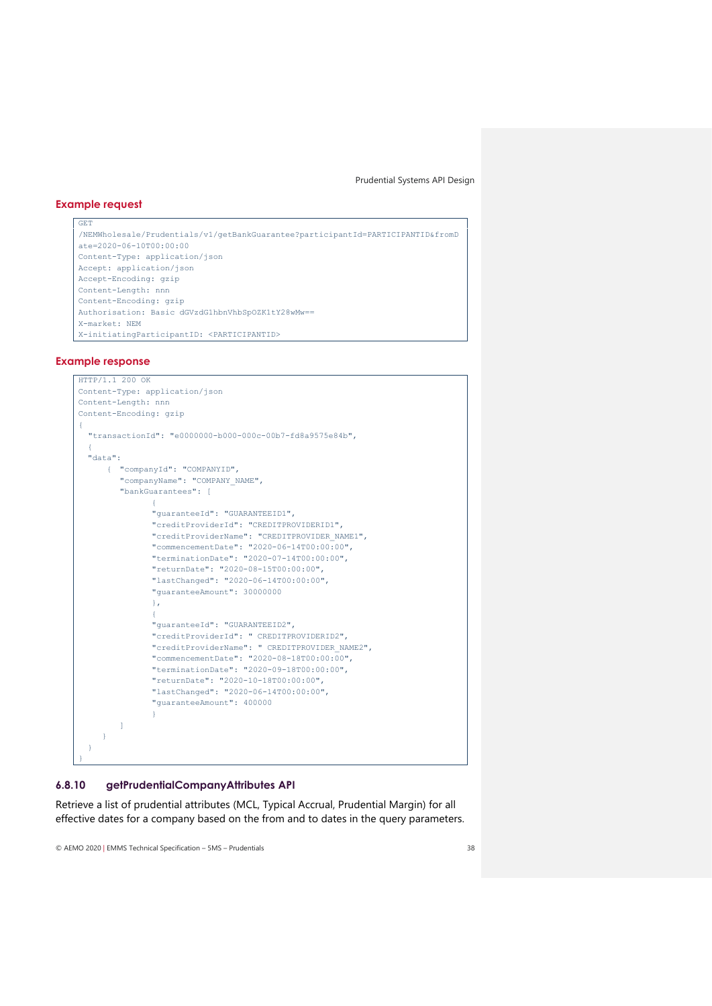#### **Example request**

GET /NEMWholesale/Prudentials/v1/getBankGuarantee?participantId=PARTICIPANTID&fromD ate=2020-06-10T00:00:00 Content-Type: application/json Accept: application/json Accept-Encoding: gzip Content-Length: nnn Content-Encoding: gzip Authorisation: Basic dGVzdG1hbnVhbSpOZK1tY28wMw== X-market: NEM X-initiatingParticipantID: <PARTICIPANTID>

#### **Example response**



#### <span id="page-39-0"></span>**6.8.10 getPrudentialCompanyAttributes API**

Retrieve a list of prudential attributes (MCL, Typical Accrual, Prudential Margin) for all effective dates for a company based on the from and to dates in the query parameters.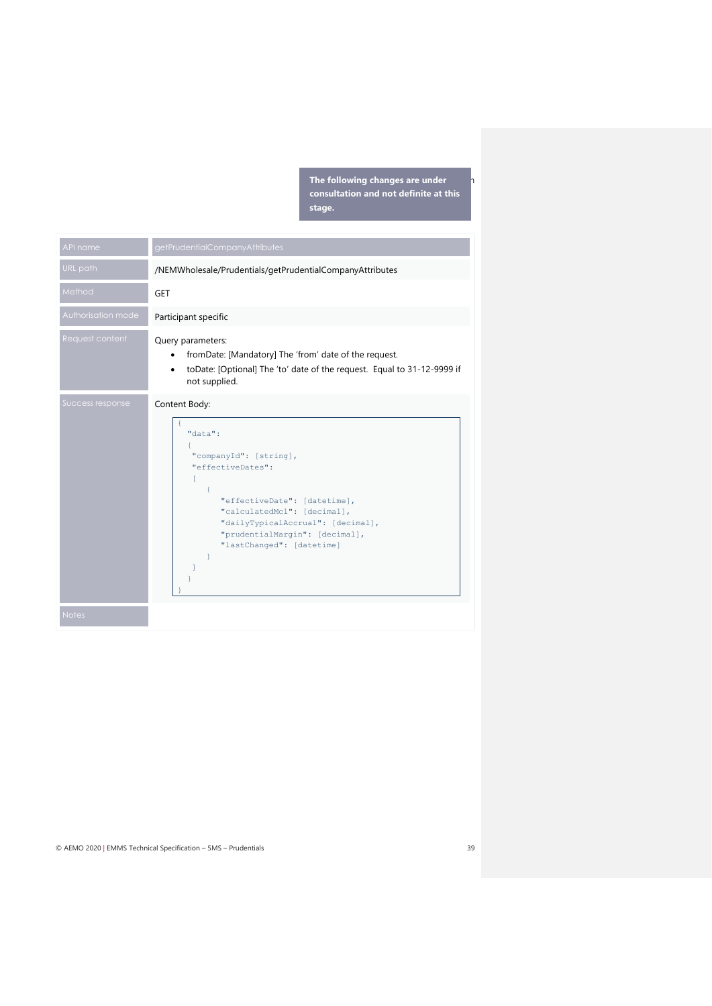**The following changes are under P consultation and not definite at this stage.**

| API name           | getPrudentialCompanyAttributes                                                                                                                                                                                                                   |
|--------------------|--------------------------------------------------------------------------------------------------------------------------------------------------------------------------------------------------------------------------------------------------|
| URL path           | /NEMWholesale/Prudentials/getPrudentialCompanyAttributes                                                                                                                                                                                         |
| Method             | <b>GET</b>                                                                                                                                                                                                                                       |
| Authorisation mode | Participant specific                                                                                                                                                                                                                             |
| Request content    | Query parameters:<br>fromDate: [Mandatory] The 'from' date of the request.<br>toDate: [Optional] The 'to' date of the request. Equal to 31-12-9999 if<br>not supplied.                                                                           |
| Success response   | Content Body:<br>"data":<br>"companyId": [string],<br>"effectiveDates":<br>J.<br>"effectiveDate": [datetime],<br>"calculatedMcl": [decimal],<br>"dailyTypicalAccrual": [decimal],<br>"prudentialMargin": [decimal],<br>"lastChanged": [datetime] |
| <b>Notes</b>       |                                                                                                                                                                                                                                                  |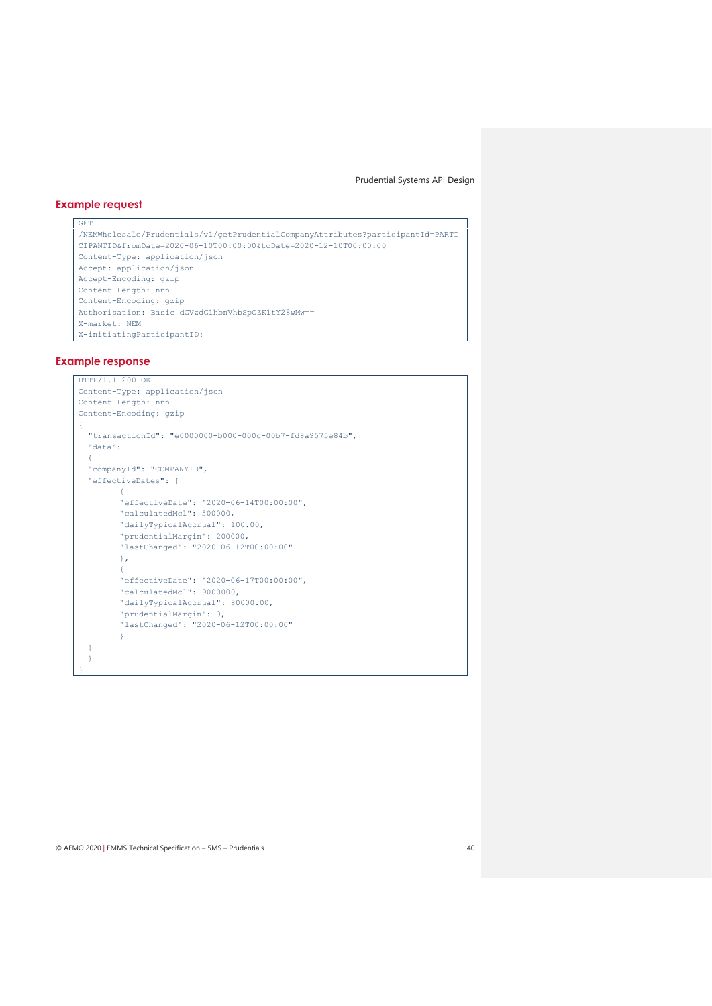#### **Example request**

```
GET
/NEMWholesale/Prudentials/v1/getPrudentialCompanyAttributes?participantId=PARTI
CIPANTID&fromDate=2020-06-10T00:00:00&toDate=2020-12-10T00:00:00
Content-Type: application/json 
Accept: application/json 
Accept-Encoding: gzip 
Content-Length: nnn 
Content-Encoding: gzip 
Authorisation: Basic dGVzdG1hbnVhbSpOZK1tY28wMw== 
X-market: NEM 
X-initiatingParticipantID:
```
#### **Example response**

```
HTTP/1.1 200 OK 
Content-Type: application/json 
Content-Length: nnn 
Content-Encoding: gzip 
{
  "transactionId": "e0000000-b000-000c-00b7-fd8a9575e84b",
 "data": 
  { 
 "companyId": "COMPANYID", 
 "effectiveDates": [ 
         { 
        "effectiveDate": "2020-06-14T00:00:00", 
        "calculatedMcl": 500000, 
        "dailyTypicalAccrual": 100.00, 
         "prudentialMargin": 200000, 
        "lastChanged": "2020-06-12T00:00:00" 
        },
         { 
        "effectiveDate": "2020-06-17T00:00:00", 
        "calculatedMcl": 9000000, 
        "dailyTypicalAccrual": 80000.00, 
        "prudentialMargin": 0, 
        "lastChanged": "2020-06-12T00:00:00"
         } 
 ] 
  }
}
```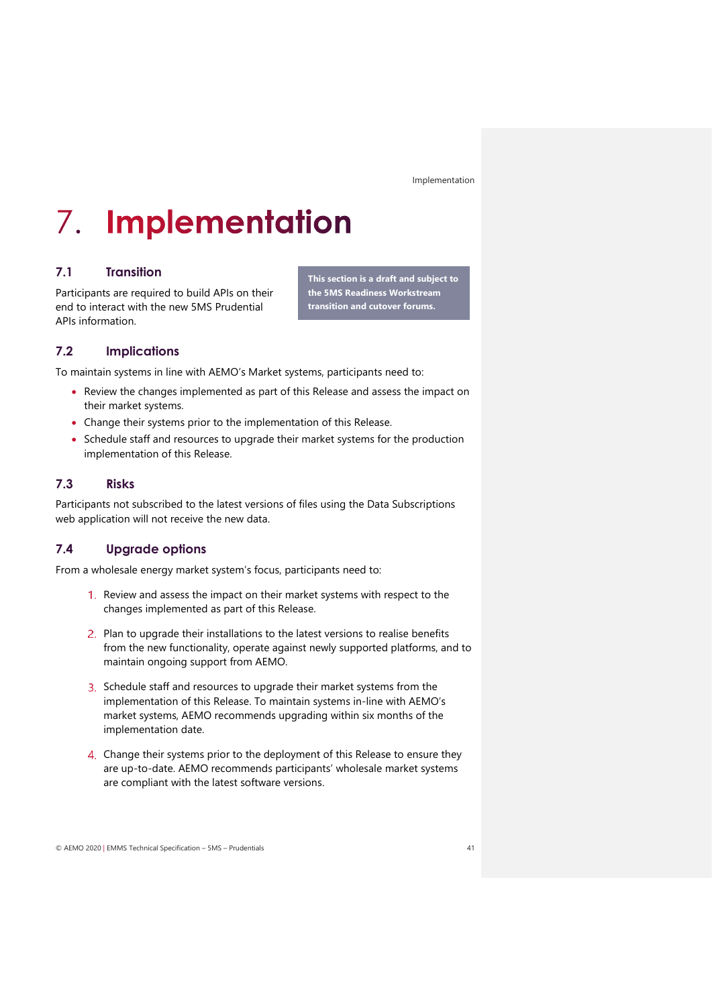Implementation

# <span id="page-42-0"></span>7. **Implementation**

### <span id="page-42-1"></span>**7.1 Transition**

Participants are required to build APIs on their end to interact with the new 5MS Prudential APIs information.

**This section is a draft and subject to the 5MS Readiness Workstream transition and cutover forums.**

### <span id="page-42-2"></span>**7.2 Implications**

To maintain systems in line with AEMO's Market systems, participants need to:

- Review the changes implemented as part of this Release and assess the impact on their market systems.
- Change their systems prior to the implementation of this Release.
- Schedule staff and resources to upgrade their market systems for the production implementation of this Release.

#### <span id="page-42-3"></span>**7.3 Risks**

Participants not subscribed to the latest versions of files using the Data Subscriptions web application will not receive the new data.

# <span id="page-42-4"></span>**7.4 Upgrade options**

From a wholesale energy market system's focus, participants need to:

- 1. Review and assess the impact on their market systems with respect to the changes implemented as part of this Release.
- 2. Plan to upgrade their installations to the latest versions to realise benefits from the new functionality, operate against newly supported platforms, and to maintain ongoing support from AEMO.
- Schedule staff and resources to upgrade their market systems from the implementation of this Release. To maintain systems in-line with AEMO's market systems, AEMO recommends upgrading within six months of the implementation date.
- 4. Change their systems prior to the deployment of this Release to ensure they are up-to-date. AEMO recommends participants' wholesale market systems are compliant with the latest software versions.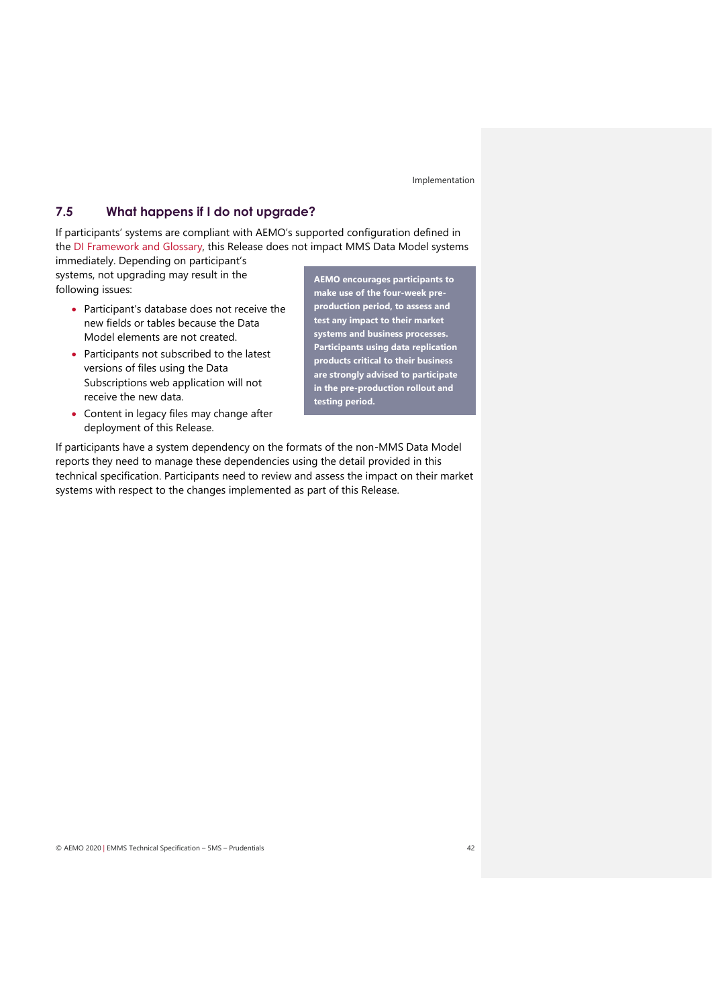Implementation

### <span id="page-43-0"></span>**7.5 What happens if I do not upgrade?**

If participants' systems are compliant with AEMO's supported configuration defined in the [DI Framework and Glossary,](http://aemo.com.au/-/media/Files/Electricity/NEM/IT-Systems-and-Change/2018/Data-Interchange-Framework-and-Glossary.pdf) this Release does not impact MMS Data Model systems immediately. Depending on participant's

systems, not upgrading may result in the following issues:

- Participant's database does not receive the new fields or tables because the Data Model elements are not created.
- Participants not subscribed to the latest versions of files using the Data Subscriptions web application will not receive the new data.
- Content in legacy files may change after deployment of this Release.

**AEMO encourages participants to make use of the four-week preproduction period, to assess and test any impact to their market systems and business processes. Participants using data replication products critical to their business are strongly advised to participate in the pre-production rollout and testing period.**

If participants have a system dependency on the formats of the non-MMS Data Model reports they need to manage these dependencies using the detail provided in this technical specification. Participants need to review and assess the impact on their market systems with respect to the changes implemented as part of this Release.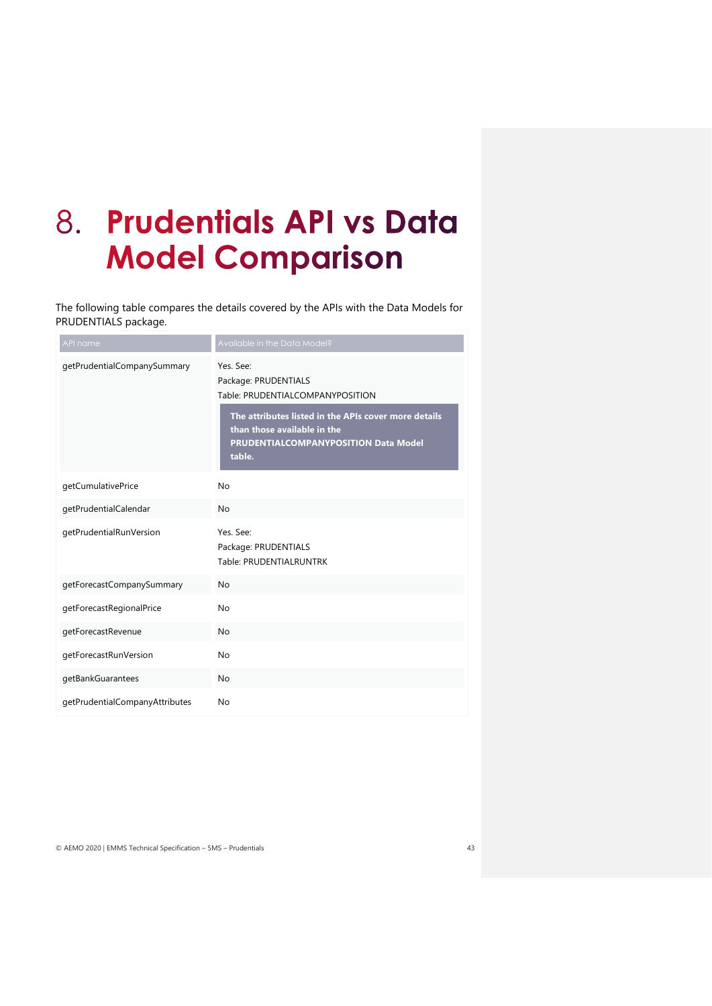# <span id="page-44-0"></span>8. Prudentials API vs Data **Model Comparison**

The following table compares the details covered by the APIs with the Data Models for PRUDENTIALS package.

| <b>API</b> name                | Available in the Data Model?                                                                                                          |  |
|--------------------------------|---------------------------------------------------------------------------------------------------------------------------------------|--|
| getPrudentialCompanySummary    | Yes. See:<br>Package: PRUDENTIALS<br>Table: PRUDENTIALCOMPANYPOSITION                                                                 |  |
|                                | The attributes listed in the APIs cover more details<br>than those available in the<br>PRUDENTIALCOMPANYPOSITION Data Model<br>table. |  |
| getCumulativePrice             | <b>No</b>                                                                                                                             |  |
| getPrudentialCalendar          | <b>No</b>                                                                                                                             |  |
| getPrudentialRunVersion        | Yes, See:<br>Package: PRUDENTIALS<br>Table: PRUDENTIALRUNTRK                                                                          |  |
| getForecastCompanySummary      | <b>No</b>                                                                                                                             |  |
| getForecastRegionalPrice       | <b>No</b>                                                                                                                             |  |
| getForecastRevenue             | <b>No</b>                                                                                                                             |  |
| getForecastRunVersion          | No                                                                                                                                    |  |
| getBankGuarantees              | <b>No</b>                                                                                                                             |  |
| getPrudentialCompanyAttributes | No                                                                                                                                    |  |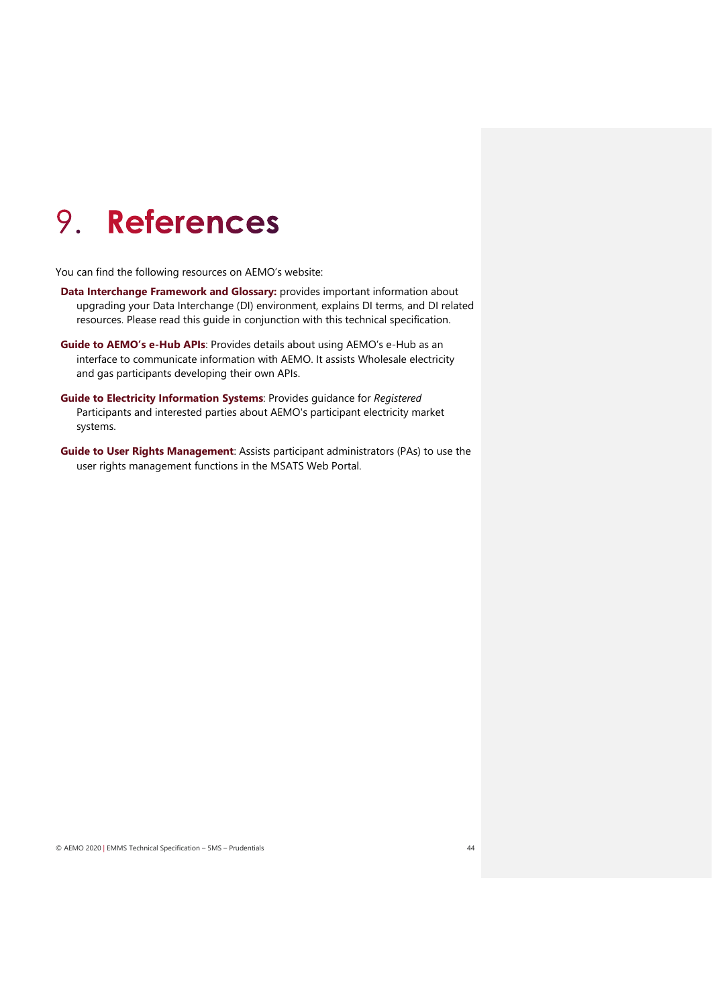# <span id="page-45-0"></span>9. References

You can find the following resources on AEMO's website:

- **Data Interchange Framework and Glossary:** provides important information about upgrading your Data Interchange (DI) environment, explains DI terms, and DI related resources. Please read this guide in conjunction with this technical specification.
- **Guide to AEMO's e-Hub APIs**: Provides details about using AEMO's e-Hub as an interface to communicate information with AEMO. It assists Wholesale electricity and gas participants developing their own APIs.
- **Guide to Electricity Information Systems**: Provides guidance for *Registered*  Participants and interested parties about AEMO's participant electricity market systems.
- **Guide to User Rights Management**: Assists participant administrators (PAs) to use the user rights management functions in the MSATS Web Portal.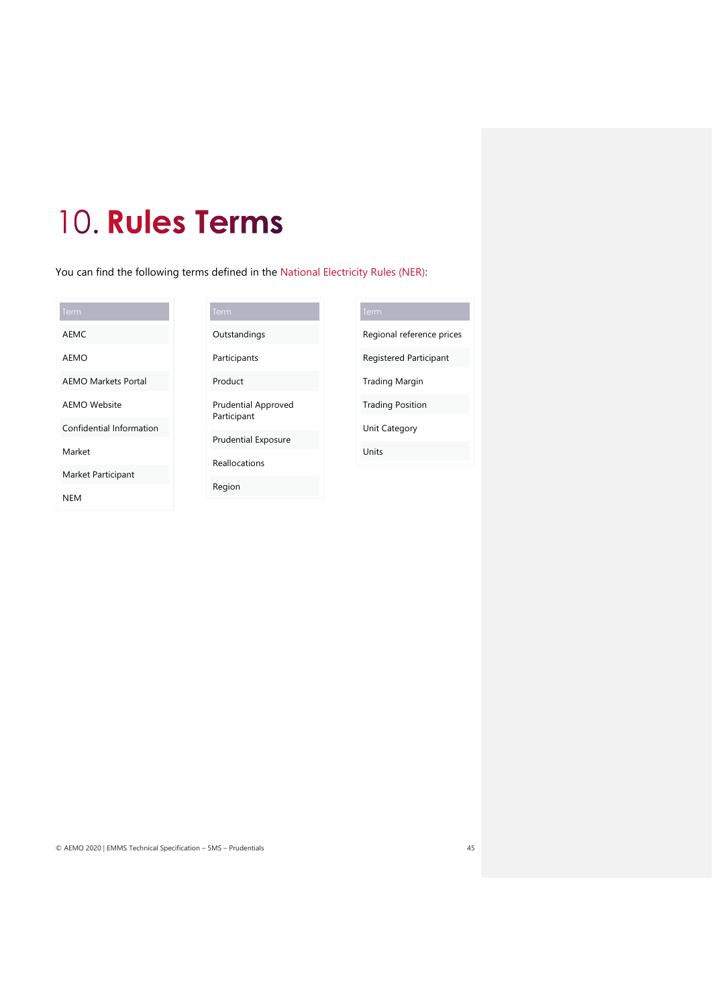# <span id="page-46-0"></span>10. Rules Terms

You can find the following terms defined in the [National Electricity Rules \(NER\):](https://www.aemc.gov.au/regulation/energy-rules/national-electricity-rules/current)

| <b>Term</b>                | Term                       | Term                      |
|----------------------------|----------------------------|---------------------------|
| <b>AEMC</b>                | Outstandings               | Regional reference prices |
| AEMO                       | Participants               | Registered Participant    |
| <b>AEMO Markets Portal</b> | Product                    | <b>Trading Margin</b>     |
| AEMO Website               | <b>Prudential Approved</b> | <b>Trading Position</b>   |
| Confidential Information   | Participant                | Unit Category             |
| Market                     | <b>Prudential Exposure</b> | Units                     |
| Market Participant         | <b>Reallocations</b>       |                           |
| <b>NEM</b>                 | Region                     |                           |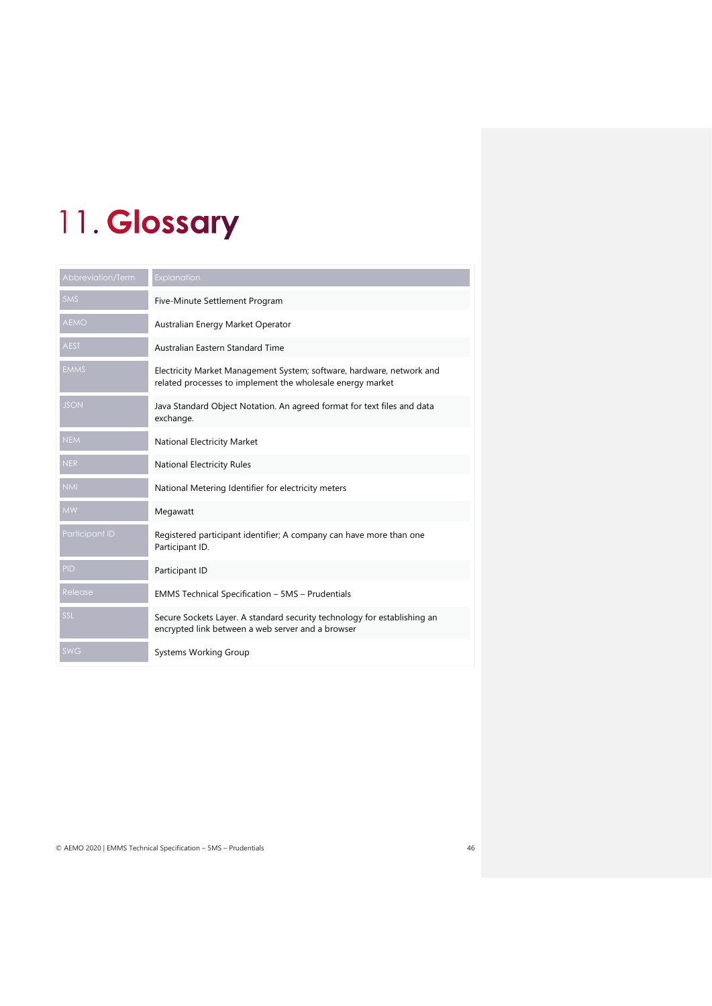# <span id="page-47-0"></span>11. Glossary

| Abbreviation/Term     | <b>Explanation</b>                                                                                                                  |
|-----------------------|-------------------------------------------------------------------------------------------------------------------------------------|
| 5MS                   | Five-Minute Settlement Program                                                                                                      |
| <b>AEMO</b>           | Australian Energy Market Operator                                                                                                   |
| <b>AEST</b>           | Australian Eastern Standard Time                                                                                                    |
| <b>EMMS</b>           | Electricity Market Management System; software, hardware, network and<br>related processes to implement the wholesale energy market |
| <b>JSON</b>           | Java Standard Object Notation. An agreed format for text files and data<br>exchange.                                                |
| <b>NEM</b>            | National Electricity Market                                                                                                         |
| <b>NER</b>            | National Electricity Rules                                                                                                          |
| <b>NMI</b>            | National Metering Identifier for electricity meters                                                                                 |
| <b>MW</b>             | Megawatt                                                                                                                            |
| <b>Participant ID</b> | Registered participant identifier; A company can have more than one<br>Participant ID.                                              |
| PID                   | Participant ID                                                                                                                      |
| Release               | <b>EMMS Technical Specification - 5MS - Prudentials</b>                                                                             |
| <b>SSL</b>            | Secure Sockets Layer. A standard security technology for establishing an<br>encrypted link between a web server and a browser       |
| <b>SWG</b>            | Systems Working Group                                                                                                               |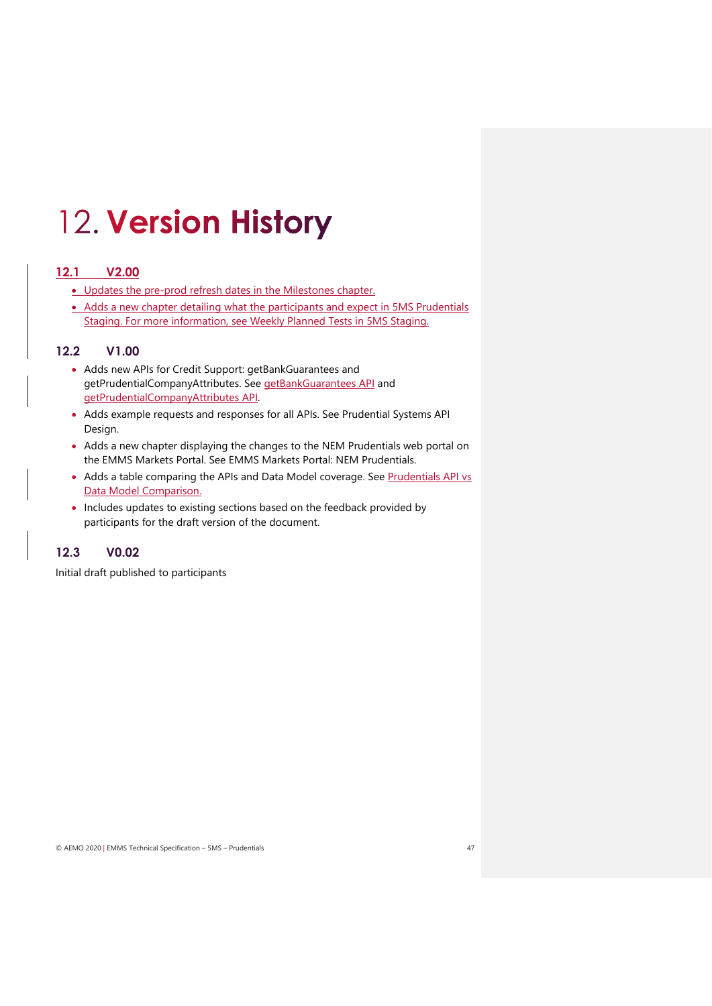# <span id="page-48-0"></span>12. Version History

# <span id="page-48-1"></span>**12.1 V2.00**

- Updates the pre-prod refresh dates in the [Milestones](#page-7-0) chapter.
- Adds a new chapter detailing what the participants and expect in 5MS Prudentials Staging. For more information, see [Weekly Planned Tests in 5MS Staging.](#page-9-0)

#### **12.2 V1.00**

- Adds new APIs for Credit Support: getBankGuarantees and getPrudentialCompanyAttributes. See [getBankGuarantees](#page-37-0) API and [getPrudentialCompanyAttributes](#page-39-0) API.
- Adds example requests and responses for all APIs. See [Prudential Systems API](#page-16-0)  [Design.](#page-16-0)
- Adds a new chapter displaying the changes to the NEM Prudentials web portal on the EMMS Markets Portal. See [EMMS Markets Portal: NEM Prudentials.](#page-14-0)
- Adds a table comparing the APIs and Data Model coverage. See [Prudentials API vs](#page-44-0)  Data [Model Comparison.](#page-44-0)
- Includes updates to existing sections based on the feedback provided by participants for the draft version of the document.

# <span id="page-48-2"></span>**12.3 V0.02**

Initial draft published to participants